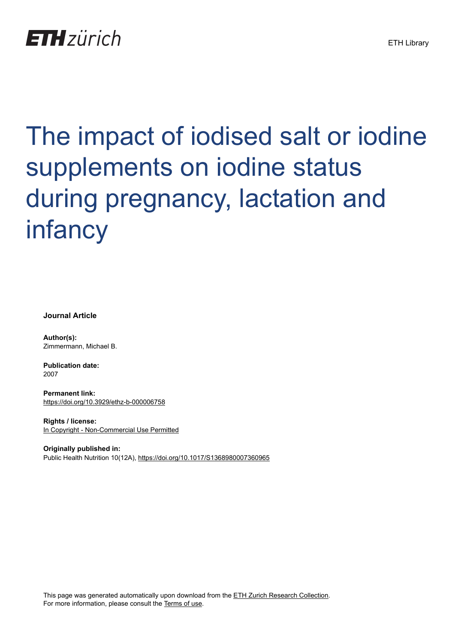## **ETH** zürich

# The impact of iodised salt or iodine supplements on iodine status during pregnancy, lactation and infancy

**Journal Article**

**Author(s):** Zimmermann, Michael B.

**Publication date:** 2007

**Permanent link:** <https://doi.org/10.3929/ethz-b-000006758>

**Rights / license:** [In Copyright - Non-Commercial Use Permitted](http://rightsstatements.org/page/InC-NC/1.0/)

**Originally published in:** Public Health Nutrition 10(12A), <https://doi.org/10.1017/S1368980007360965>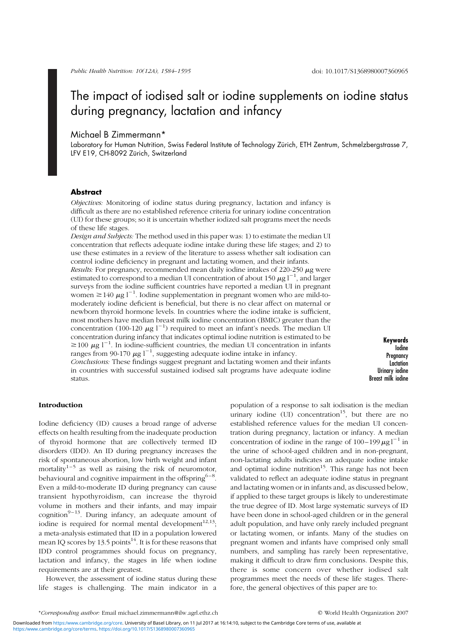### The impact of iodised salt or iodine supplements on iodine status during pregnancy, lactation and infancy

#### Michael B Zimmermann\*

Laboratory for Human Nutrition, Swiss Federal Institute of Technology Zürich, ETH Zentrum, Schmelzbergstrasse 7, LFV E19, CH-8092 Zürich, Switzerland

#### Abstract

Objectives: Monitoring of iodine status during pregnancy, lactation and infancy is difficult as there are no established reference criteria for urinary iodine concentration (UI) for these groups; so it is uncertain whether iodized salt programs meet the needs of these life stages.

Design and Subjects: The method used in this paper was: 1) to estimate the median UI concentration that reflects adequate iodine intake during these life stages; and 2) to use these estimates in a review of the literature to assess whether salt iodisation can control iodine deficiency in pregnant and lactating women, and their infants.

Results: For pregnancy, recommended mean daily iodine intakes of 220-250  $\mu$ g were estimated to correspond to a median UI concentration of about 150  $\mu$ g l<sup>-1</sup>, and larger surveys from the iodine sufficient countries have reported a median UI in pregnant women  $\geq 140 \mu g l^{-1}$ . Iodine supplementation in pregnant women who are mild-tomoderately iodine deficient is beneficial, but there is no clear affect on maternal or newborn thyroid hormone levels. In countries where the iodine intake is sufficient, most mothers have median breast milk iodine concentration (BMIC) greater than the concentration (100-120  $\mu$ g l<sup>-1</sup>) required to meet an infant's needs. The median UI concentration during infancy that indicates optimal iodine nutrition is estimated to be  $\geq$  100  $\mu$ g l<sup>-1</sup>. In iodine-sufficient countries, the median UI concentration in infants ranges from 90-170  $\mu$ g l<sup>-1</sup>, suggesting adequate iodine intake in infancy.

Conclusions: These findings suggest pregnant and lactating women and their infants in countries with successful sustained iodised salt programs have adequate iodine status.

Keywords Iodine **Pregnancy** Lactation Urinary iodine Breast milk iodine

#### Introduction

Iodine deficiency (ID) causes a broad range of adverse effects on health resulting from the inadequate production of thyroid hormone that are collectively termed ID disorders (IDD). An ID during pregnancy increases the risk of spontaneous abortion, low birth weight and infant mortality<sup>1–5</sup> as well as raising the risk of neuromotor, behavioural and cognitive impairment in the offspring<sup>6–8</sup>. Even a mild-to-moderate ID during pregnancy can cause transient hypothyroidism, can increase the thyroid volume in mothers and their infants, and may impair cognition<sup>9-13</sup>. During infancy, an adequate amount of iodine is required for normal mental development<sup>12,13</sup>; a meta-analysis estimated that ID in a population lowered mean IO scores by 13.5 points<sup>14</sup>. It is for these reasons that IDD control programmes should focus on pregnancy, lactation and infancy, the stages in life when iodine requirements are at their greatest.

However, the assessment of iodine status during these life stages is challenging. The main indicator in a population of a response to salt iodisation is the median urinary iodine  $(UI)$  concentration<sup>15</sup>, but there are no established reference values for the median UI concentration during pregnancy, lactation or infancy. A median concentration of iodine in the range of  $100-199 \mu g l^{-1}$  in the urine of school-aged children and in non-pregnant, non-lactating adults indicates an adequate iodine intake and optimal iodine nutrition<sup>15</sup>. This range has not been validated to reflect an adequate iodine status in pregnant and lactating women or in infants and, as discussed below, if applied to these target groups is likely to underestimate the true degree of ID. Most large systematic surveys of ID have been done in school-aged children or in the general adult population, and have only rarely included pregnant or lactating women, or infants. Many of the studies on pregnant women and infants have comprised only small numbers, and sampling has rarely been representative, making it difficult to draw firm conclusions. Despite this, there is some concern over whether iodised salt programmes meet the needs of these life stages. Therefore, the general objectives of this paper are to:

<https:/www.cambridge.org/core/terms>. <https://doi.org/10.1017/S1368980007360965> Downloaded from <https:/www.cambridge.org/core>. University of Basel Library, on 11 Jul 2017 at 16:14:10, subject to the Cambridge Core terms of use, available at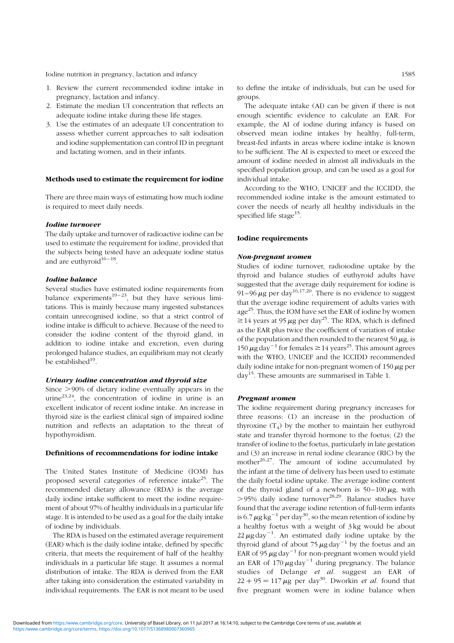- 1. Review the current recommended iodine intake in pregnancy, lactation and infancy.
- 2. Estimate the median UI concentration that reflects an adequate iodine intake during these life stages.
- 3. Use the estimates of an adequate UI concentration to assess whether current approaches to salt iodisation and iodine supplementation can control ID in pregnant and lactating women, and in their infants.

#### Methods used to estimate the requirement for iodine

There are three main ways of estimating how much iodine is required to meet daily needs.

#### Iodine turnover

The daily uptake and turnover of radioactive iodine can be used to estimate the requirement for iodine, provided that the subjects being tested have an adequate iodine status and are euthyroid $16 - 18$ .

#### Iodine balance

Several studies have estimated iodine requirements from balance experiments<sup>19-23</sup>, but they have serious limitations. This is mainly because many ingested substances contain unrecognised iodine, so that a strict control of iodine intake is difficult to achieve. Because of the need to consider the iodine content of the thyroid gland, in addition to iodine intake and excretion, even during prolonged balance studies, an equilibrium may not clearly be established<sup>19</sup>.

#### Urinary iodine concentration and thyroid size

Since  $>90\%$  of dietary iodine eventually appears in the urine<sup>23,24</sup>, the concentration of iodine in urine is an excellent indicator of recent iodine intake. An increase in thyroid size is the earliest clinical sign of impaired iodine nutrition and reflects an adaptation to the threat of hypothyroidism.

#### Definitions of recommendations for iodine intake

The United States Institute of Medicine (IOM) has proposed several categories of reference intake $^{25}$ . The recommended dietary allowance (RDA) is the average daily iodine intake sufficient to meet the iodine requirement of about 97% of healthy individuals in a particular life stage. It is intended to be used as a goal for the daily intake of iodine by individuals.

The RDA is based on the estimated average requirement (EAR) which is the daily iodine intake, defined by specific criteria, that meets the requirement of half of the healthy individuals in a particular life stage. It assumes a normal distribution of intake. The RDA is derived from the EAR after taking into consideration the estimated variability in individual requirements. The EAR is not meant to be used

to define the intake of individuals, but can be used for groups.

The adequate intake (AI) can be given if there is not enough scientific evidence to calculate an EAR. For example, the AI of iodine during infancy is based on observed mean iodine intakes by healthy, full-term, breast-fed infants in areas where iodine intake is known to be sufficient. The AI is expected to meet or exceed the amount of iodine needed in almost all individuals in the specified population group, and can be used as a goal for individual intake.

According to the WHO, UNICEF and the ICCIDD, the recommended iodine intake is the amount estimated to cover the needs of nearly all healthy individuals in the specified life stage<sup>15</sup>.

#### Iodine requirements

#### Non-pregnant women

Studies of iodine turnover, radioiodine uptake by the thyroid and balance studies of euthyroid adults have suggested that the average daily requirement for iodine is 91–96  $\mu$ g per day<sup>16,17,20</sup>. There is no evidence to suggest that the average iodine requirement of adults varies with age25. Thus, the IOM have set the EAR of iodine by women  $\ge$  14 years at 95  $\mu$ g per day<sup>25</sup>. The RDA, which is defined as the EAR plus twice the coefficient of variation of intake of the population and then rounded to the nearest 50  $\mu$ g, is  $150 \mu g$  day<sup>-1</sup> for females  $\geq 14$  years<sup>25</sup>. This amount agrees with the WHO, UNICEF and the ICCIDD recommended daily iodine intake for non-pregnant women of  $150 \mu$ g per  $day^{15}$ . These amounts are summarised in Table 1.

#### Pregnant women

The iodine requirement during pregnancy increases for three reasons: (1) an increase in the production of thyroxine  $(T_4)$  by the mother to maintain her euthyroid state and transfer thyroid hormone to the foetus; (2) the transfer of iodine to the foetus, particularly in late gestation and (3) an increase in renal iodine clearance (RIC) by the mother $x^{26,27}$ . The amount of iodine accumulated by the infant at the time of delivery has been used to estimate the daily foetal iodine uptake. The average iodine content of the thyroid gland of a newborn is  $50-100 \mu$ g, with  $>$ 95% daily iodine turnover<sup>28,29</sup>. Balance studies have found that the average iodine retention of full-term infants is 6.7  $\mu$ g kg<sup>-1</sup> per day<sup>30</sup>, so the mean retention of iodine by a healthy foetus with a weight of 3 kg would be about  $22 \mu$ g day<sup>-1</sup>. An estimated daily iodine uptake by the thyroid gland of about 75  $\mu$ g day<sup>-1</sup> by the foetus and an EAR of 95  $\mu$ g day<sup>-1</sup> for non-pregnant women would yield an EAR of  $170 \mu g$  day<sup>-1</sup> during pregnancy. The balance studies of Delange et al. suggest an EAR of  $22 + 95 = 117 \mu$ g per day<sup>30</sup>. Dworkin *et al.* found that five pregnant women were in iodine balance when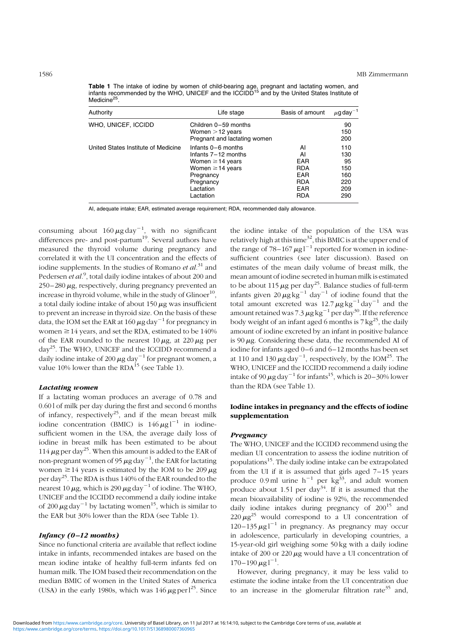**Table 1** The intake of iodine by women of child-bearing age, pregnant and lactating women, and<br>infants recommended by the WHO, UNICEF and the ICCIDD<sup>15</sup> and by the United States Institute of Medicine<sup>25</sup>

| Authority                           | Life stage                                                                                                                                      | Basis of amount                                                                       | $\mu$ g day <sup>-1</sup>                           |
|-------------------------------------|-------------------------------------------------------------------------------------------------------------------------------------------------|---------------------------------------------------------------------------------------|-----------------------------------------------------|
| WHO, UNICEF, ICCIDD                 | Children 0-59 months<br>Women $>$ 12 years<br>Pregnant and lactating women                                                                      |                                                                                       | 90<br>150<br>200                                    |
| United States Institute of Medicine | Infants 0-6 months<br>Infants 7-12 months<br>Women $\geq$ 14 years<br>Women $\geq$ 14 years<br>Pregnancy<br>Pregnancy<br>Lactation<br>Lactation | AI<br>AI<br><b>EAR</b><br><b>RDA</b><br><b>EAR</b><br><b>RDA</b><br>EAR<br><b>RDA</b> | 110<br>130<br>95<br>150<br>160<br>220<br>209<br>290 |

AI, adequate intake; EAR, estimated average requirement; RDA, recommended daily allowance.

consuming about  $160 \mu\text{g day}^{-1}$ , with no significant differences pre- and post-partum<sup>19</sup>. Several authors have measured the thyroid volume during pregnancy and correlated it with the UI concentration and the effects of iodine supplements. In the studies of Romano et  $al.^{31}$  and Pedersen *et al.<sup>9</sup>*, total daily iodine intakes of about 200 and  $250-280 \mu$ g, respectively, during pregnancy prevented an increase in thyroid volume, while in the study of  $G$ linoer<sup>10</sup>, a total daily iodine intake of about  $150 \mu$ g was insufficient to prevent an increase in thyroid size. On the basis of these data, the IOM set the EAR at  $160 \mu g$  day<sup>-1</sup> for pregnancy in women  $\geq$  14 years, and set the RDA, estimated to be 140% of the EAR rounded to the nearest  $10 \mu$ g, at 220  $\mu$ g per day25. The WHO, UNICEF and the ICCIDD recommend a daily iodine intake of 200  $\mu$ g day $^{-1}$  for pregnant women, a value 10% lower than the  $RDA^{15}$  (see Table 1).

#### Lactating women

If a lactating woman produces an average of 0.78 and 0.60 l of milk per day during the first and second 6 months of infancy, respectively<sup>25</sup>, and if the mean breast milk iodine concentration (BMIC) is  $146 \mu g l^{-1}$  in iodinesufficient women in the USA, the average daily loss of iodine in breast milk has been estimated to be about 114  $\mu$ g per day<sup>25</sup>. When this amount is added to the EAR of non-pregnant women of 95  $\mu$ g day<sup>-1</sup>, the EAR for lactating women  $\geq$  14 years is estimated by the IOM to be 209  $\mu$ g per day25. The RDA is thus 140% of the EAR rounded to the nearest 10  $\mu$ g, which is 290  $\mu$ g day<sup>-1</sup> of iodine. The WHO, UNICEF and the ICCIDD recommend a daily iodine intake of 200  $\mu$ g day<sup>-1</sup> by lactating women<sup>15</sup>, which is similar to the EAR but 30% lower than the RDA (see Table 1).

#### Infancy  $(0-12$  months)

Since no functional criteria are available that reflect iodine intake in infants, recommended intakes are based on the mean iodine intake of healthy full-term infants fed on human milk. The IOM based their recommendation on the median BMIC of women in the United States of America (USA) in the early 1980s, which was  $146 \mu$ g per l<sup>25</sup>. Since

the iodine intake of the population of the USA was relatively high at this time<sup>32</sup>, this BMIC is at the upper end of the range of 78–167  $\mu$ g l<sup>-1</sup> reported for women in iodinesufficient countries (see later discussion). Based on estimates of the mean daily volume of breast milk, the mean amount of iodine secreted in human milk is estimated to be about 115  $\mu$ g per day<sup>25</sup>. Balance studies of full-term infants given  $20 \mu g kg^{-1}$  day<sup>-1</sup> of iodine found that the total amount excreted was  $12.7 \mu g kg^{-1} day^{-1}$  and the amount retained was 7.3  $\mu$ g kg $^{-1}$  per day $^{30}$ . If the reference body weight of an infant aged 6 months is  $7 \text{ kg}^{25}$ , the daily amount of iodine excreted by an infant in positive balance is  $90 \mu$ g. Considering these data, the recommended AI of iodine for infants aged 0–6 and 6–12 months has been set at 110 and 130  $\mu$ g day<sup>-1</sup>, respectively, by the IOM<sup>25</sup>. The WHO, UNICEF and the ICCIDD recommend a daily iodine intake of 90  $\mu$ g day<sup>-1</sup> for infants<sup>15</sup>, which is 20–30% lower than the RDA (see Table 1).

#### Iodine intakes in pregnancy and the effects of iodine supplementation

#### Pregnancy

The WHO, UNICEF and the ICCIDD recommend using the median UI concentration to assess the iodine nutrition of populations15. The daily iodine intake can be extrapolated from the UI if it is assumed that girls aged 7–15 years produce 0.9 ml urine  $h^{-1}$  per kg<sup>33</sup>, and adult women produce about 1.51 per day<sup>34</sup>. If it is assumed that the mean bioavailability of iodine is 92%, the recommended daily iodine intakes during pregnancy of  $200^{15}$  and  $220 \mu g^{25}$  would correspond to a UI concentration of  $120-135 \mu g l^{-1}$  in pregnancy. As pregnancy may occur in adolescence, particularly in developing countries, a 15-year-old girl weighing some 50 kg with a daily iodine intake of 200 or 220  $\mu$ g would have a UI concentration of  $170 - 190 \,\mu g \,$ l<sup>-1</sup>.

However, during pregnancy, it may be less valid to estimate the iodine intake from the UI concentration due to an increase in the glomerular filtration rate<sup>35</sup> and,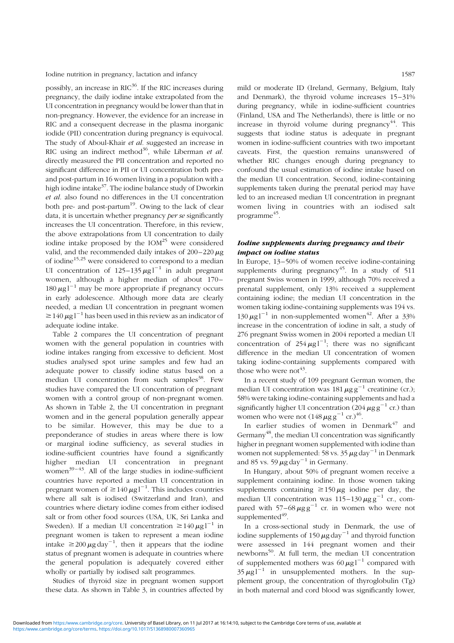possibly, an increase in  $RIC^{36}$ . If the RIC increases during pregnancy, the daily iodine intake extrapolated from the UI concentration in pregnancy would be lower than that in non-pregnancy. However, the evidence for an increase in RIC and a consequent decrease in the plasma inorganic iodide (PII) concentration during pregnancy is equivocal. The study of Aboul-Khair et al. suggested an increase in RIC using an indirect method<sup>36</sup>, while Liberman et al. directly measured the PII concentration and reported no significant difference in PII or UI concentration both preand post-partum in 16 women living in a population with a high iodine intake<sup>37</sup>. The iodine balance study of Dworkin et al. also found no differences in the UI concentration both pre- and post-partum<sup>19</sup>. Owing to the lack of clear data, it is uncertain whether pregnancy per se significantly increases the UI concentration. Therefore, in this review, the above extrapolations from UI concentration to daily iodine intake proposed by the  $IOM^{25}$  were considered valid, and the recommended daily intakes of  $200-220 \mu$ g of iodine15,25 were considered to correspond to a median UI concentration of  $125-135 \mu g l^{-1}$  in adult pregnant women, although a higher median of about 170- $180 \mu g l^{-1}$  may be more appropriate if pregnancy occurs in early adolescence. Although more data are clearly needed, a median UI concentration in pregnant women  $\geq 140 \mu g l^{-1}$  has been used in this review as an indicator of adequate iodine intake.

Table 2 compares the UI concentration of pregnant women with the general population in countries with iodine intakes ranging from excessive to deficient. Most studies analysed spot urine samples and few had an adequate power to classify iodine status based on a median UI concentration from such samples<sup>38</sup>. Few studies have compared the UI concentration of pregnant women with a control group of non-pregnant women. As shown in Table 2, the UI concentration in pregnant women and in the general population generally appear to be similar. However, this may be due to a preponderance of studies in areas where there is low or marginal iodine sufficiency, as several studies in iodine-sufficient countries have found a significantly higher median UI concentration in pregnant women $39-43$ . All of the large studies in iodine-sufficient countries have reported a median UI concentration in pregnant women of  $\geq 140 \,\mu g l^{-1}$ . This includes countries where all salt is iodised (Switzerland and Iran), and countries where dietary iodine comes from either iodised salt or from other food sources (USA, UK, Sri Lanka and Sweden). If a median UI concentration  $\geq 140 \mu g l^{-1}$  in pregnant women is taken to represent a mean iodine intake  $\geq 200 \,\mu\text{g day}^{-1}$ , then it appears that the iodine status of pregnant women is adequate in countries where the general population is adequately covered either wholly or partially by iodised salt programmes.

Studies of thyroid size in pregnant women support these data. As shown in Table 3, in countries affected by

mild or moderate ID (Ireland, Germany, Belgium, Italy and Denmark), the thyroid volume increases  $15-31\%$ during pregnancy, while in iodine-sufficient countries (Finland, USA and The Netherlands), there is little or no increase in thyroid volume during pregnancy $44$ . This suggests that iodine status is adequate in pregnant women in iodine-sufficient countries with two important caveats. First, the question remains unanswered of whether RIC changes enough during pregnancy to confound the usual estimation of iodine intake based on the median UI concentration. Second, iodine-containing supplements taken during the prenatal period may have led to an increased median UI concentration in pregnant women living in countries with an iodised salt programme<sup>45</sup>.

#### Iodine supplements during pregnancy and their impact on iodine status

In Europe, 13–50% of women receive iodine-containing supplements during pregnancy<sup>45</sup>. In a study of  $511$ pregnant Swiss women in 1999, although 70% received a prenatal supplement, only 13% received a supplement containing iodine; the median UI concentration in the women taking iodine-containing supplements was 194 vs.  $130 \mu g l^{-1}$  in non-supplemented women<sup>42</sup>. After a 33% increase in the concentration of iodine in salt, a study of 276 pregnant Swiss women in 2004 reported a median UI concentration of  $254 \mu g l^{-1}$ ; there was no significant difference in the median UI concentration of women taking iodine-containing supplements compared with those who were not<sup> $43$ </sup>.

In a recent study of 109 pregnant German women, the median UI concentration was  $181 \mu g g^{-1}$  creatinine (cr.); 58% were taking iodine-containing supplements and had a significantly higher UI concentration (204  $\mu$ g g<sup>-1</sup> cr.) than women who were not  $(148 \mu g g^{-1} \text{ cr.})^{46}$ .

In earlier studies of women in Denmark $47$  and Germany<sup>48</sup>, the median UI concentration was significantly higher in pregnant women supplemented with iodine than women not supplemented: 58 vs. 35  $\mu$ g day<sup>-1</sup> in Denmark and 85 vs. 59  $\mu$ g day<sup>-1</sup> in Germany.

In Hungary, about 50% of pregnant women receive a supplement containing iodine. In those women taking supplements containing  $\geq 150 \mu$ g iodine per day, the median UI concentration was  $115-130 \mu g g^{-1}$  cr., compared with  $57-68 \mu g g^{-1}$  cr. in women who were not supplemented $49$ .

In a cross-sectional study in Denmark, the use of iodine supplements of  $150 \mu g$  day<sup>-1</sup> and thyroid function were assessed in 144 pregnant women and their newborns50. At full term, the median UI concentration of supplemented mothers was  $60 \mu g l^{-1}$  compared with  $35 \mu g l^{-1}$  in unsupplemented mothers. In the supplement group, the concentration of thyroglobulin (Tg) in both maternal and cord blood was significantly lower,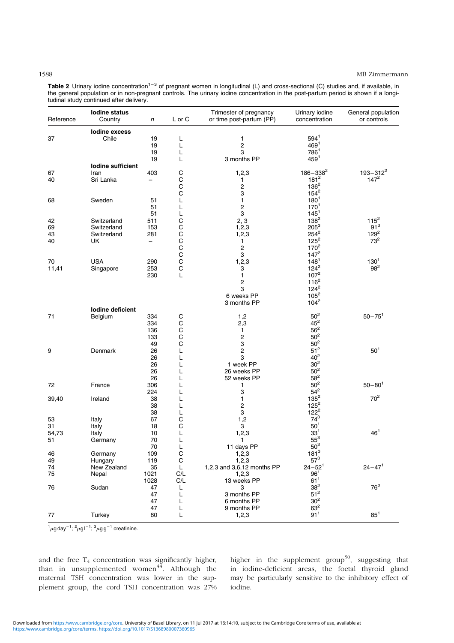#### 1588 MB Zimmermann

|  | Table 2 Urinary iodine concentration <sup>1-3</sup> of pregnant women in longitudinal (L) and cross-sectional (C) studies and, if available, in |  |  |  |  |  |
|--|-------------------------------------------------------------------------------------------------------------------------------------------------|--|--|--|--|--|
|  | the general population or in non-pregnant controls. The urinary iodine concentration in the post-partum period is shown if a longi-             |  |  |  |  |  |
|  | tudinal study continued after delivery.                                                                                                         |  |  |  |  |  |

| lodine excess<br>$594^1$<br>Chile<br>37<br>19<br>L<br>1<br>469 <sup>1</sup><br>2<br>19<br>L<br>3<br>7861<br>19<br>L<br>3 months PP<br>$459^{1}$<br>19<br>Г<br>lodine sufficient<br>С<br>1,2,3<br>$186 - 338^2$<br>$193 - 312^2$<br>67<br>Iran<br>403<br>C<br>C<br>$181^2$<br>$147^2$<br>40<br>Sri Lanka<br>1<br>$\overline{\phantom{0}}$<br>$136^2$<br>2<br>$154^2$<br>С<br>3<br>$180^{1}$<br>Sweden<br>L<br>1<br>68<br>51<br>2<br>170 <sup>1</sup><br>51<br>L<br>3<br>$145^1$<br>51<br>L<br>$115^2$<br>$138^{2}$<br>С<br>2, 3<br>Switzerland<br>511<br>42<br>$91^3$<br>C<br>C<br>C<br>C<br>C<br>$205^3$<br>Switzerland<br>153<br>69<br>1,2,3<br>$129^2$<br>$254^2$<br>281<br>43<br>Switzerland<br>1,2,3<br>$73^2$<br>$125^2$<br>40<br>UK<br>1<br>$\overline{\phantom{0}}$<br>$170^2$<br>2<br>$147^2$<br>3<br>C<br>$130^{1}$<br>1,2,3<br>$148^{1}$<br><b>USA</b><br>70<br>290<br>$\mathsf{C}$<br>$98^2$<br>$124^2$<br>253<br>11,41<br>Singapore<br>3<br>$107^2$<br>230<br>L<br>1<br>$116^2$<br>2<br>$124^2$<br>3<br>$105^2$<br>6 weeks PP<br>$104^2$<br>3 months PP<br>lodine deficient<br>50 <sup>2</sup><br>$50 - 751$<br>1,2<br>71<br>Belgium<br>334<br>C<br>$45^2$<br>$\mathsf c$<br>2,3<br>334<br>$\mathsf{C}$<br>$56^2$<br>136<br>1<br>C<br>50 <sup>2</sup><br>2<br>133<br>C<br>50 <sup>2</sup><br>3<br>49<br>51 <sup>2</sup><br>$\overline{\mathbf{c}}$<br>$501$<br>9<br>Denmark<br>26<br>L<br>40 <sup>2</sup><br>3<br>26<br>L<br>30 <sup>2</sup><br>1 week PP<br>26<br>L<br>50 <sup>2</sup><br>26 weeks PP<br>26<br>$58^2$<br>52 weeks PP<br>26<br>$50^2$<br>$50 - 80^1$<br>72<br>France<br>306<br>1<br>$54^2$<br>3<br>224<br>L<br>$135^2$<br>70 <sup>2</sup><br>1<br>Ireland<br>38<br>39,40<br>L<br>$125^2$<br>2<br>38<br>L<br>$122^2$<br>3<br>38<br>L<br>$74^{3}$<br>С<br>1,2<br>53<br>67<br>Italy<br>С<br>50 <sup>1</sup><br>3<br>31<br>Italy<br>18<br>$33^{1}$<br>46 <sup>1</sup><br>L<br>1,2,3<br>10<br>54,73<br>Italy<br>$55^3$<br>70<br>L<br>51<br>Germany<br>1<br>$50^3$<br>11 days PP<br>70<br>L<br>$181^3$<br>C<br>Germany<br>46<br>109<br>1,2,3<br>$57^3$<br>$\mathsf C$<br>49<br>Hungary<br>1,2,3<br>119<br>$24 - 471$<br>$24 - 52^1$<br>New Zealand<br>L<br>1,2,3 and 3,6,12 months PP<br>74<br>35<br>C/L<br>96 <sup>1</sup><br>75<br>Nepal<br>1021<br>1,2,3<br>61 <sup>1</sup><br>1028<br>C/L<br>13 weeks PP<br>$76^2$<br>38 <sup>2</sup><br>76<br>Sudan<br>47<br>3<br>L<br>51 <sup>2</sup><br>3 months PP<br>47<br>L<br>30 <sup>2</sup><br>6 months PP<br>47<br>L<br>63 <sup>2</sup><br>47<br>9 months PP<br>L | Reference | <b>lodine status</b><br>Country | n | L or C | Trimester of pregnancy<br>or time post-partum (PP) | Urinary iodine<br>concentration | General population<br>or controls |
|---------------------------------------------------------------------------------------------------------------------------------------------------------------------------------------------------------------------------------------------------------------------------------------------------------------------------------------------------------------------------------------------------------------------------------------------------------------------------------------------------------------------------------------------------------------------------------------------------------------------------------------------------------------------------------------------------------------------------------------------------------------------------------------------------------------------------------------------------------------------------------------------------------------------------------------------------------------------------------------------------------------------------------------------------------------------------------------------------------------------------------------------------------------------------------------------------------------------------------------------------------------------------------------------------------------------------------------------------------------------------------------------------------------------------------------------------------------------------------------------------------------------------------------------------------------------------------------------------------------------------------------------------------------------------------------------------------------------------------------------------------------------------------------------------------------------------------------------------------------------------------------------------------------------------------------------------------------------------------------------------------------------------------------------------------------------------------------------------------------------------------------------------------------------------------------------------------------------------------------------------------------------------------------------------------------------------------------------------------------------------------------------------------------------------------------------------------------------------------------------------------------------------------------|-----------|---------------------------------|---|--------|----------------------------------------------------|---------------------------------|-----------------------------------|
|                                                                                                                                                                                                                                                                                                                                                                                                                                                                                                                                                                                                                                                                                                                                                                                                                                                                                                                                                                                                                                                                                                                                                                                                                                                                                                                                                                                                                                                                                                                                                                                                                                                                                                                                                                                                                                                                                                                                                                                                                                                                                                                                                                                                                                                                                                                                                                                                                                                                                                                                       |           |                                 |   |        |                                                    |                                 |                                   |
|                                                                                                                                                                                                                                                                                                                                                                                                                                                                                                                                                                                                                                                                                                                                                                                                                                                                                                                                                                                                                                                                                                                                                                                                                                                                                                                                                                                                                                                                                                                                                                                                                                                                                                                                                                                                                                                                                                                                                                                                                                                                                                                                                                                                                                                                                                                                                                                                                                                                                                                                       |           |                                 |   |        |                                                    |                                 |                                   |
|                                                                                                                                                                                                                                                                                                                                                                                                                                                                                                                                                                                                                                                                                                                                                                                                                                                                                                                                                                                                                                                                                                                                                                                                                                                                                                                                                                                                                                                                                                                                                                                                                                                                                                                                                                                                                                                                                                                                                                                                                                                                                                                                                                                                                                                                                                                                                                                                                                                                                                                                       |           |                                 |   |        |                                                    |                                 |                                   |
|                                                                                                                                                                                                                                                                                                                                                                                                                                                                                                                                                                                                                                                                                                                                                                                                                                                                                                                                                                                                                                                                                                                                                                                                                                                                                                                                                                                                                                                                                                                                                                                                                                                                                                                                                                                                                                                                                                                                                                                                                                                                                                                                                                                                                                                                                                                                                                                                                                                                                                                                       |           |                                 |   |        |                                                    |                                 |                                   |
|                                                                                                                                                                                                                                                                                                                                                                                                                                                                                                                                                                                                                                                                                                                                                                                                                                                                                                                                                                                                                                                                                                                                                                                                                                                                                                                                                                                                                                                                                                                                                                                                                                                                                                                                                                                                                                                                                                                                                                                                                                                                                                                                                                                                                                                                                                                                                                                                                                                                                                                                       |           |                                 |   |        |                                                    |                                 |                                   |
|                                                                                                                                                                                                                                                                                                                                                                                                                                                                                                                                                                                                                                                                                                                                                                                                                                                                                                                                                                                                                                                                                                                                                                                                                                                                                                                                                                                                                                                                                                                                                                                                                                                                                                                                                                                                                                                                                                                                                                                                                                                                                                                                                                                                                                                                                                                                                                                                                                                                                                                                       |           |                                 |   |        |                                                    |                                 |                                   |
|                                                                                                                                                                                                                                                                                                                                                                                                                                                                                                                                                                                                                                                                                                                                                                                                                                                                                                                                                                                                                                                                                                                                                                                                                                                                                                                                                                                                                                                                                                                                                                                                                                                                                                                                                                                                                                                                                                                                                                                                                                                                                                                                                                                                                                                                                                                                                                                                                                                                                                                                       |           |                                 |   |        |                                                    |                                 |                                   |
|                                                                                                                                                                                                                                                                                                                                                                                                                                                                                                                                                                                                                                                                                                                                                                                                                                                                                                                                                                                                                                                                                                                                                                                                                                                                                                                                                                                                                                                                                                                                                                                                                                                                                                                                                                                                                                                                                                                                                                                                                                                                                                                                                                                                                                                                                                                                                                                                                                                                                                                                       |           |                                 |   |        |                                                    |                                 |                                   |
|                                                                                                                                                                                                                                                                                                                                                                                                                                                                                                                                                                                                                                                                                                                                                                                                                                                                                                                                                                                                                                                                                                                                                                                                                                                                                                                                                                                                                                                                                                                                                                                                                                                                                                                                                                                                                                                                                                                                                                                                                                                                                                                                                                                                                                                                                                                                                                                                                                                                                                                                       |           |                                 |   |        |                                                    |                                 |                                   |
|                                                                                                                                                                                                                                                                                                                                                                                                                                                                                                                                                                                                                                                                                                                                                                                                                                                                                                                                                                                                                                                                                                                                                                                                                                                                                                                                                                                                                                                                                                                                                                                                                                                                                                                                                                                                                                                                                                                                                                                                                                                                                                                                                                                                                                                                                                                                                                                                                                                                                                                                       |           |                                 |   |        |                                                    |                                 |                                   |
|                                                                                                                                                                                                                                                                                                                                                                                                                                                                                                                                                                                                                                                                                                                                                                                                                                                                                                                                                                                                                                                                                                                                                                                                                                                                                                                                                                                                                                                                                                                                                                                                                                                                                                                                                                                                                                                                                                                                                                                                                                                                                                                                                                                                                                                                                                                                                                                                                                                                                                                                       |           |                                 |   |        |                                                    |                                 |                                   |
|                                                                                                                                                                                                                                                                                                                                                                                                                                                                                                                                                                                                                                                                                                                                                                                                                                                                                                                                                                                                                                                                                                                                                                                                                                                                                                                                                                                                                                                                                                                                                                                                                                                                                                                                                                                                                                                                                                                                                                                                                                                                                                                                                                                                                                                                                                                                                                                                                                                                                                                                       |           |                                 |   |        |                                                    |                                 |                                   |
|                                                                                                                                                                                                                                                                                                                                                                                                                                                                                                                                                                                                                                                                                                                                                                                                                                                                                                                                                                                                                                                                                                                                                                                                                                                                                                                                                                                                                                                                                                                                                                                                                                                                                                                                                                                                                                                                                                                                                                                                                                                                                                                                                                                                                                                                                                                                                                                                                                                                                                                                       |           |                                 |   |        |                                                    |                                 |                                   |
|                                                                                                                                                                                                                                                                                                                                                                                                                                                                                                                                                                                                                                                                                                                                                                                                                                                                                                                                                                                                                                                                                                                                                                                                                                                                                                                                                                                                                                                                                                                                                                                                                                                                                                                                                                                                                                                                                                                                                                                                                                                                                                                                                                                                                                                                                                                                                                                                                                                                                                                                       |           |                                 |   |        |                                                    |                                 |                                   |
|                                                                                                                                                                                                                                                                                                                                                                                                                                                                                                                                                                                                                                                                                                                                                                                                                                                                                                                                                                                                                                                                                                                                                                                                                                                                                                                                                                                                                                                                                                                                                                                                                                                                                                                                                                                                                                                                                                                                                                                                                                                                                                                                                                                                                                                                                                                                                                                                                                                                                                                                       |           |                                 |   |        |                                                    |                                 |                                   |
|                                                                                                                                                                                                                                                                                                                                                                                                                                                                                                                                                                                                                                                                                                                                                                                                                                                                                                                                                                                                                                                                                                                                                                                                                                                                                                                                                                                                                                                                                                                                                                                                                                                                                                                                                                                                                                                                                                                                                                                                                                                                                                                                                                                                                                                                                                                                                                                                                                                                                                                                       |           |                                 |   |        |                                                    |                                 |                                   |
|                                                                                                                                                                                                                                                                                                                                                                                                                                                                                                                                                                                                                                                                                                                                                                                                                                                                                                                                                                                                                                                                                                                                                                                                                                                                                                                                                                                                                                                                                                                                                                                                                                                                                                                                                                                                                                                                                                                                                                                                                                                                                                                                                                                                                                                                                                                                                                                                                                                                                                                                       |           |                                 |   |        |                                                    |                                 |                                   |
|                                                                                                                                                                                                                                                                                                                                                                                                                                                                                                                                                                                                                                                                                                                                                                                                                                                                                                                                                                                                                                                                                                                                                                                                                                                                                                                                                                                                                                                                                                                                                                                                                                                                                                                                                                                                                                                                                                                                                                                                                                                                                                                                                                                                                                                                                                                                                                                                                                                                                                                                       |           |                                 |   |        |                                                    |                                 |                                   |
|                                                                                                                                                                                                                                                                                                                                                                                                                                                                                                                                                                                                                                                                                                                                                                                                                                                                                                                                                                                                                                                                                                                                                                                                                                                                                                                                                                                                                                                                                                                                                                                                                                                                                                                                                                                                                                                                                                                                                                                                                                                                                                                                                                                                                                                                                                                                                                                                                                                                                                                                       |           |                                 |   |        |                                                    |                                 |                                   |
|                                                                                                                                                                                                                                                                                                                                                                                                                                                                                                                                                                                                                                                                                                                                                                                                                                                                                                                                                                                                                                                                                                                                                                                                                                                                                                                                                                                                                                                                                                                                                                                                                                                                                                                                                                                                                                                                                                                                                                                                                                                                                                                                                                                                                                                                                                                                                                                                                                                                                                                                       |           |                                 |   |        |                                                    |                                 |                                   |
|                                                                                                                                                                                                                                                                                                                                                                                                                                                                                                                                                                                                                                                                                                                                                                                                                                                                                                                                                                                                                                                                                                                                                                                                                                                                                                                                                                                                                                                                                                                                                                                                                                                                                                                                                                                                                                                                                                                                                                                                                                                                                                                                                                                                                                                                                                                                                                                                                                                                                                                                       |           |                                 |   |        |                                                    |                                 |                                   |
|                                                                                                                                                                                                                                                                                                                                                                                                                                                                                                                                                                                                                                                                                                                                                                                                                                                                                                                                                                                                                                                                                                                                                                                                                                                                                                                                                                                                                                                                                                                                                                                                                                                                                                                                                                                                                                                                                                                                                                                                                                                                                                                                                                                                                                                                                                                                                                                                                                                                                                                                       |           |                                 |   |        |                                                    |                                 |                                   |
|                                                                                                                                                                                                                                                                                                                                                                                                                                                                                                                                                                                                                                                                                                                                                                                                                                                                                                                                                                                                                                                                                                                                                                                                                                                                                                                                                                                                                                                                                                                                                                                                                                                                                                                                                                                                                                                                                                                                                                                                                                                                                                                                                                                                                                                                                                                                                                                                                                                                                                                                       |           |                                 |   |        |                                                    |                                 |                                   |
|                                                                                                                                                                                                                                                                                                                                                                                                                                                                                                                                                                                                                                                                                                                                                                                                                                                                                                                                                                                                                                                                                                                                                                                                                                                                                                                                                                                                                                                                                                                                                                                                                                                                                                                                                                                                                                                                                                                                                                                                                                                                                                                                                                                                                                                                                                                                                                                                                                                                                                                                       |           |                                 |   |        |                                                    |                                 |                                   |
|                                                                                                                                                                                                                                                                                                                                                                                                                                                                                                                                                                                                                                                                                                                                                                                                                                                                                                                                                                                                                                                                                                                                                                                                                                                                                                                                                                                                                                                                                                                                                                                                                                                                                                                                                                                                                                                                                                                                                                                                                                                                                                                                                                                                                                                                                                                                                                                                                                                                                                                                       |           |                                 |   |        |                                                    |                                 |                                   |
|                                                                                                                                                                                                                                                                                                                                                                                                                                                                                                                                                                                                                                                                                                                                                                                                                                                                                                                                                                                                                                                                                                                                                                                                                                                                                                                                                                                                                                                                                                                                                                                                                                                                                                                                                                                                                                                                                                                                                                                                                                                                                                                                                                                                                                                                                                                                                                                                                                                                                                                                       |           |                                 |   |        |                                                    |                                 |                                   |
|                                                                                                                                                                                                                                                                                                                                                                                                                                                                                                                                                                                                                                                                                                                                                                                                                                                                                                                                                                                                                                                                                                                                                                                                                                                                                                                                                                                                                                                                                                                                                                                                                                                                                                                                                                                                                                                                                                                                                                                                                                                                                                                                                                                                                                                                                                                                                                                                                                                                                                                                       |           |                                 |   |        |                                                    |                                 |                                   |
|                                                                                                                                                                                                                                                                                                                                                                                                                                                                                                                                                                                                                                                                                                                                                                                                                                                                                                                                                                                                                                                                                                                                                                                                                                                                                                                                                                                                                                                                                                                                                                                                                                                                                                                                                                                                                                                                                                                                                                                                                                                                                                                                                                                                                                                                                                                                                                                                                                                                                                                                       |           |                                 |   |        |                                                    |                                 |                                   |
|                                                                                                                                                                                                                                                                                                                                                                                                                                                                                                                                                                                                                                                                                                                                                                                                                                                                                                                                                                                                                                                                                                                                                                                                                                                                                                                                                                                                                                                                                                                                                                                                                                                                                                                                                                                                                                                                                                                                                                                                                                                                                                                                                                                                                                                                                                                                                                                                                                                                                                                                       |           |                                 |   |        |                                                    |                                 |                                   |
|                                                                                                                                                                                                                                                                                                                                                                                                                                                                                                                                                                                                                                                                                                                                                                                                                                                                                                                                                                                                                                                                                                                                                                                                                                                                                                                                                                                                                                                                                                                                                                                                                                                                                                                                                                                                                                                                                                                                                                                                                                                                                                                                                                                                                                                                                                                                                                                                                                                                                                                                       |           |                                 |   |        |                                                    |                                 |                                   |
|                                                                                                                                                                                                                                                                                                                                                                                                                                                                                                                                                                                                                                                                                                                                                                                                                                                                                                                                                                                                                                                                                                                                                                                                                                                                                                                                                                                                                                                                                                                                                                                                                                                                                                                                                                                                                                                                                                                                                                                                                                                                                                                                                                                                                                                                                                                                                                                                                                                                                                                                       |           |                                 |   |        |                                                    |                                 |                                   |
|                                                                                                                                                                                                                                                                                                                                                                                                                                                                                                                                                                                                                                                                                                                                                                                                                                                                                                                                                                                                                                                                                                                                                                                                                                                                                                                                                                                                                                                                                                                                                                                                                                                                                                                                                                                                                                                                                                                                                                                                                                                                                                                                                                                                                                                                                                                                                                                                                                                                                                                                       |           |                                 |   |        |                                                    |                                 |                                   |
|                                                                                                                                                                                                                                                                                                                                                                                                                                                                                                                                                                                                                                                                                                                                                                                                                                                                                                                                                                                                                                                                                                                                                                                                                                                                                                                                                                                                                                                                                                                                                                                                                                                                                                                                                                                                                                                                                                                                                                                                                                                                                                                                                                                                                                                                                                                                                                                                                                                                                                                                       |           |                                 |   |        |                                                    |                                 |                                   |
|                                                                                                                                                                                                                                                                                                                                                                                                                                                                                                                                                                                                                                                                                                                                                                                                                                                                                                                                                                                                                                                                                                                                                                                                                                                                                                                                                                                                                                                                                                                                                                                                                                                                                                                                                                                                                                                                                                                                                                                                                                                                                                                                                                                                                                                                                                                                                                                                                                                                                                                                       |           |                                 |   |        |                                                    |                                 |                                   |
|                                                                                                                                                                                                                                                                                                                                                                                                                                                                                                                                                                                                                                                                                                                                                                                                                                                                                                                                                                                                                                                                                                                                                                                                                                                                                                                                                                                                                                                                                                                                                                                                                                                                                                                                                                                                                                                                                                                                                                                                                                                                                                                                                                                                                                                                                                                                                                                                                                                                                                                                       |           |                                 |   |        |                                                    |                                 |                                   |
|                                                                                                                                                                                                                                                                                                                                                                                                                                                                                                                                                                                                                                                                                                                                                                                                                                                                                                                                                                                                                                                                                                                                                                                                                                                                                                                                                                                                                                                                                                                                                                                                                                                                                                                                                                                                                                                                                                                                                                                                                                                                                                                                                                                                                                                                                                                                                                                                                                                                                                                                       |           |                                 |   |        |                                                    |                                 |                                   |
|                                                                                                                                                                                                                                                                                                                                                                                                                                                                                                                                                                                                                                                                                                                                                                                                                                                                                                                                                                                                                                                                                                                                                                                                                                                                                                                                                                                                                                                                                                                                                                                                                                                                                                                                                                                                                                                                                                                                                                                                                                                                                                                                                                                                                                                                                                                                                                                                                                                                                                                                       |           |                                 |   |        |                                                    |                                 |                                   |
|                                                                                                                                                                                                                                                                                                                                                                                                                                                                                                                                                                                                                                                                                                                                                                                                                                                                                                                                                                                                                                                                                                                                                                                                                                                                                                                                                                                                                                                                                                                                                                                                                                                                                                                                                                                                                                                                                                                                                                                                                                                                                                                                                                                                                                                                                                                                                                                                                                                                                                                                       |           |                                 |   |        |                                                    |                                 |                                   |
|                                                                                                                                                                                                                                                                                                                                                                                                                                                                                                                                                                                                                                                                                                                                                                                                                                                                                                                                                                                                                                                                                                                                                                                                                                                                                                                                                                                                                                                                                                                                                                                                                                                                                                                                                                                                                                                                                                                                                                                                                                                                                                                                                                                                                                                                                                                                                                                                                                                                                                                                       |           |                                 |   |        |                                                    |                                 |                                   |
|                                                                                                                                                                                                                                                                                                                                                                                                                                                                                                                                                                                                                                                                                                                                                                                                                                                                                                                                                                                                                                                                                                                                                                                                                                                                                                                                                                                                                                                                                                                                                                                                                                                                                                                                                                                                                                                                                                                                                                                                                                                                                                                                                                                                                                                                                                                                                                                                                                                                                                                                       |           |                                 |   |        |                                                    |                                 |                                   |
|                                                                                                                                                                                                                                                                                                                                                                                                                                                                                                                                                                                                                                                                                                                                                                                                                                                                                                                                                                                                                                                                                                                                                                                                                                                                                                                                                                                                                                                                                                                                                                                                                                                                                                                                                                                                                                                                                                                                                                                                                                                                                                                                                                                                                                                                                                                                                                                                                                                                                                                                       |           |                                 |   |        |                                                    |                                 |                                   |
|                                                                                                                                                                                                                                                                                                                                                                                                                                                                                                                                                                                                                                                                                                                                                                                                                                                                                                                                                                                                                                                                                                                                                                                                                                                                                                                                                                                                                                                                                                                                                                                                                                                                                                                                                                                                                                                                                                                                                                                                                                                                                                                                                                                                                                                                                                                                                                                                                                                                                                                                       |           |                                 |   |        |                                                    |                                 |                                   |
|                                                                                                                                                                                                                                                                                                                                                                                                                                                                                                                                                                                                                                                                                                                                                                                                                                                                                                                                                                                                                                                                                                                                                                                                                                                                                                                                                                                                                                                                                                                                                                                                                                                                                                                                                                                                                                                                                                                                                                                                                                                                                                                                                                                                                                                                                                                                                                                                                                                                                                                                       |           |                                 |   |        |                                                    |                                 |                                   |
|                                                                                                                                                                                                                                                                                                                                                                                                                                                                                                                                                                                                                                                                                                                                                                                                                                                                                                                                                                                                                                                                                                                                                                                                                                                                                                                                                                                                                                                                                                                                                                                                                                                                                                                                                                                                                                                                                                                                                                                                                                                                                                                                                                                                                                                                                                                                                                                                                                                                                                                                       |           |                                 |   |        |                                                    |                                 |                                   |
|                                                                                                                                                                                                                                                                                                                                                                                                                                                                                                                                                                                                                                                                                                                                                                                                                                                                                                                                                                                                                                                                                                                                                                                                                                                                                                                                                                                                                                                                                                                                                                                                                                                                                                                                                                                                                                                                                                                                                                                                                                                                                                                                                                                                                                                                                                                                                                                                                                                                                                                                       |           |                                 |   |        |                                                    |                                 |                                   |
|                                                                                                                                                                                                                                                                                                                                                                                                                                                                                                                                                                                                                                                                                                                                                                                                                                                                                                                                                                                                                                                                                                                                                                                                                                                                                                                                                                                                                                                                                                                                                                                                                                                                                                                                                                                                                                                                                                                                                                                                                                                                                                                                                                                                                                                                                                                                                                                                                                                                                                                                       |           |                                 |   |        |                                                    |                                 |                                   |
|                                                                                                                                                                                                                                                                                                                                                                                                                                                                                                                                                                                                                                                                                                                                                                                                                                                                                                                                                                                                                                                                                                                                                                                                                                                                                                                                                                                                                                                                                                                                                                                                                                                                                                                                                                                                                                                                                                                                                                                                                                                                                                                                                                                                                                                                                                                                                                                                                                                                                                                                       |           |                                 |   |        |                                                    |                                 |                                   |
|                                                                                                                                                                                                                                                                                                                                                                                                                                                                                                                                                                                                                                                                                                                                                                                                                                                                                                                                                                                                                                                                                                                                                                                                                                                                                                                                                                                                                                                                                                                                                                                                                                                                                                                                                                                                                                                                                                                                                                                                                                                                                                                                                                                                                                                                                                                                                                                                                                                                                                                                       |           |                                 |   |        |                                                    |                                 |                                   |
|                                                                                                                                                                                                                                                                                                                                                                                                                                                                                                                                                                                                                                                                                                                                                                                                                                                                                                                                                                                                                                                                                                                                                                                                                                                                                                                                                                                                                                                                                                                                                                                                                                                                                                                                                                                                                                                                                                                                                                                                                                                                                                                                                                                                                                                                                                                                                                                                                                                                                                                                       |           |                                 |   |        |                                                    |                                 |                                   |
|                                                                                                                                                                                                                                                                                                                                                                                                                                                                                                                                                                                                                                                                                                                                                                                                                                                                                                                                                                                                                                                                                                                                                                                                                                                                                                                                                                                                                                                                                                                                                                                                                                                                                                                                                                                                                                                                                                                                                                                                                                                                                                                                                                                                                                                                                                                                                                                                                                                                                                                                       |           |                                 |   |        |                                                    |                                 |                                   |
|                                                                                                                                                                                                                                                                                                                                                                                                                                                                                                                                                                                                                                                                                                                                                                                                                                                                                                                                                                                                                                                                                                                                                                                                                                                                                                                                                                                                                                                                                                                                                                                                                                                                                                                                                                                                                                                                                                                                                                                                                                                                                                                                                                                                                                                                                                                                                                                                                                                                                                                                       |           |                                 |   |        |                                                    |                                 |                                   |
|                                                                                                                                                                                                                                                                                                                                                                                                                                                                                                                                                                                                                                                                                                                                                                                                                                                                                                                                                                                                                                                                                                                                                                                                                                                                                                                                                                                                                                                                                                                                                                                                                                                                                                                                                                                                                                                                                                                                                                                                                                                                                                                                                                                                                                                                                                                                                                                                                                                                                                                                       |           |                                 |   |        |                                                    |                                 |                                   |
|                                                                                                                                                                                                                                                                                                                                                                                                                                                                                                                                                                                                                                                                                                                                                                                                                                                                                                                                                                                                                                                                                                                                                                                                                                                                                                                                                                                                                                                                                                                                                                                                                                                                                                                                                                                                                                                                                                                                                                                                                                                                                                                                                                                                                                                                                                                                                                                                                                                                                                                                       |           |                                 |   |        |                                                    |                                 |                                   |
|                                                                                                                                                                                                                                                                                                                                                                                                                                                                                                                                                                                                                                                                                                                                                                                                                                                                                                                                                                                                                                                                                                                                                                                                                                                                                                                                                                                                                                                                                                                                                                                                                                                                                                                                                                                                                                                                                                                                                                                                                                                                                                                                                                                                                                                                                                                                                                                                                                                                                                                                       |           |                                 |   |        |                                                    |                                 |                                   |
|                                                                                                                                                                                                                                                                                                                                                                                                                                                                                                                                                                                                                                                                                                                                                                                                                                                                                                                                                                                                                                                                                                                                                                                                                                                                                                                                                                                                                                                                                                                                                                                                                                                                                                                                                                                                                                                                                                                                                                                                                                                                                                                                                                                                                                                                                                                                                                                                                                                                                                                                       |           |                                 |   |        |                                                    |                                 |                                   |
|                                                                                                                                                                                                                                                                                                                                                                                                                                                                                                                                                                                                                                                                                                                                                                                                                                                                                                                                                                                                                                                                                                                                                                                                                                                                                                                                                                                                                                                                                                                                                                                                                                                                                                                                                                                                                                                                                                                                                                                                                                                                                                                                                                                                                                                                                                                                                                                                                                                                                                                                       |           |                                 |   |        |                                                    |                                 |                                   |
|                                                                                                                                                                                                                                                                                                                                                                                                                                                                                                                                                                                                                                                                                                                                                                                                                                                                                                                                                                                                                                                                                                                                                                                                                                                                                                                                                                                                                                                                                                                                                                                                                                                                                                                                                                                                                                                                                                                                                                                                                                                                                                                                                                                                                                                                                                                                                                                                                                                                                                                                       |           |                                 |   |        |                                                    |                                 |                                   |
|                                                                                                                                                                                                                                                                                                                                                                                                                                                                                                                                                                                                                                                                                                                                                                                                                                                                                                                                                                                                                                                                                                                                                                                                                                                                                                                                                                                                                                                                                                                                                                                                                                                                                                                                                                                                                                                                                                                                                                                                                                                                                                                                                                                                                                                                                                                                                                                                                                                                                                                                       |           |                                 |   |        |                                                    |                                 |                                   |
|                                                                                                                                                                                                                                                                                                                                                                                                                                                                                                                                                                                                                                                                                                                                                                                                                                                                                                                                                                                                                                                                                                                                                                                                                                                                                                                                                                                                                                                                                                                                                                                                                                                                                                                                                                                                                                                                                                                                                                                                                                                                                                                                                                                                                                                                                                                                                                                                                                                                                                                                       |           |                                 |   |        |                                                    |                                 |                                   |
|                                                                                                                                                                                                                                                                                                                                                                                                                                                                                                                                                                                                                                                                                                                                                                                                                                                                                                                                                                                                                                                                                                                                                                                                                                                                                                                                                                                                                                                                                                                                                                                                                                                                                                                                                                                                                                                                                                                                                                                                                                                                                                                                                                                                                                                                                                                                                                                                                                                                                                                                       |           |                                 |   |        |                                                    |                                 |                                   |
| Г<br>1,2,3<br>77<br>80                                                                                                                                                                                                                                                                                                                                                                                                                                                                                                                                                                                                                                                                                                                                                                                                                                                                                                                                                                                                                                                                                                                                                                                                                                                                                                                                                                                                                                                                                                                                                                                                                                                                                                                                                                                                                                                                                                                                                                                                                                                                                                                                                                                                                                                                                                                                                                                                                                                                                                                |           | Turkey                          |   |        |                                                    | 91 <sup>1</sup>                 | $85^{1}$                          |

 $\frac{1}{2}\mu$ g day $^{-1}$ ;  $\frac{2}{\mu}$ g l $^{-1}$ ;  $\frac{3}{\mu}$ g g $^{-1}$  creatinine.

and the free  $T_4$  concentration was significantly higher, than in unsupplemented women<sup>44</sup>. Although the maternal TSH concentration was lower in the supplement group, the cord TSH concentration was 27% higher in the supplement  $\text{group}^{50}$ , suggesting that in iodine-deficient areas, the foetal thyroid gland may be particularly sensitive to the inhibitory effect of iodine.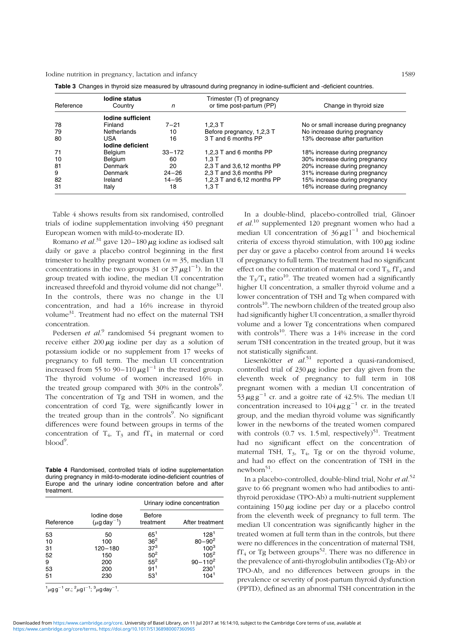| Reference | lodine status<br>Country | n          | Trimester (T) of pregnancy<br>or time post-partum (PP) | Change in thyroid size                |
|-----------|--------------------------|------------|--------------------------------------------------------|---------------------------------------|
|           | lodine sufficient        |            |                                                        |                                       |
| 78        | Finland                  | $7 - 21$   | 1.2.3T                                                 | No or small increase during pregnancy |
| 79        | Netherlands              | 10         | Before pregnancy, 1,2,3 T                              | No increase during pregnancy          |
| 80        | USA                      | 16         | 3 T and 6 months PP                                    | 13% decrease after parturition        |
|           | lodine deficient         |            |                                                        |                                       |
| 71        | Belgium                  | $33 - 172$ | 1,2,3 T and 6 months PP                                | 18% increase during pregnancy         |
| 10        | Belgium                  | 60         | 1.3T                                                   | 30% increase during pregnancy         |
| 81        | Denmark                  | 20         | 2,3 T and 3,6,12 months PP                             | 20% increase during pregnancy         |
| 9         | Denmark                  | $24 - 26$  | 2,3 T and 3,6 months PP                                | 31% increase during pregnancy         |
| 82        | Ireland                  | $14 - 95$  | 1,2,3 T and 6,12 months PP                             | 15% increase during pregnancy         |
| 31        | Italy                    | 18         | 1.3 T                                                  | 16% increase during pregnancy         |

Table 3. Changes in thyroid size measured by ultrasound during pregnancy in iodine-sufficient and -deficient countries.

Table 4 shows results from six randomised, controlled trials of iodine supplementation involving 450 pregnant European women with mild-to-moderate ID.

Romano et al.<sup>31</sup> gave 120–180  $\mu$ g iodine as iodised salt daily or gave a placebo control beginning in the first trimester to healthy pregnant women ( $n = 35$ , median UI concentrations in the two groups 31 or  $37 \mu g l^{-1}$ ). In the group treated with iodine, the median UI concentration increased threefold and thyroid volume did not change<sup>31</sup>. In the controls, there was no change in the UI concentration, and had a 16% increase in thyroid volume31. Treatment had no effect on the maternal TSH concentration.

Pedersen et  $al$ .<sup>9</sup> randomised 54 pregnant women to receive either  $200 \mu g$  iodine per day as a solution of potassium iodide or no supplement from 17 weeks of pregnancy to full term. The median UI concentration increased from 55 to 90–110  $\mu$ g l<sup>-1</sup> in the treated group. The thyroid volume of women increased 16% in the treated group compared with 30% in the controls<sup>9</sup>. The concentration of Tg and TSH in women, and the concentration of cord Tg, were significantly lower in the treated group than in the controls<sup>9</sup>. No significant differences were found between groups in terms of the concentration of  $T_4$ ,  $T_3$  and  $fT_4$  in maternal or cord blood<sup>9</sup>.

Table 4 Randomised, controlled trials of iodine supplementation during pregnancy in mild-to-moderate iodine-deficient countries of Europe and the urinary iodine concentration before and after treatment.

|           |                                             |                            | Urinary iodine concentration |
|-----------|---------------------------------------------|----------------------------|------------------------------|
| Reference | Iodine dose<br>$(\mu$ g day <sup>-1</sup> ) | <b>Before</b><br>treatment | After treatment              |
| 53        | 50                                          | $65^1$                     | 128 <sup>1</sup>             |
| 10        | 100                                         | $\frac{36^2}{37^3}$        | $80 - 90^2$                  |
| 31        | $120 - 180$                                 |                            | $100^{3}$                    |
| 52        | 150                                         | 50 <sup>2</sup>            | $105^2$                      |
| 9         | 200                                         | $55^2$                     | $90 - 110^2$                 |
| 53        | 200                                         | 91 <sup>1</sup>            | 230 <sup>1</sup>             |
| 51        | 230                                         | $53^{1}$                   | 104 <sup>1</sup>             |

 $^{1}$ µg g<sup>-1</sup> cr.; <sup>2</sup>µg l<sup>-1</sup>; <sup>3</sup>µg day<sup>-1</sup>.

In a double-blind, placebo-controlled trial, Glinoer et  $al^{10}$  supplemented 120 pregnant women who had a median UI concentration of  $36 \mu g l^{-1}$  and biochemical criteria of excess thyroid stimulation, with  $100 \mu$ g iodine per day or gave a placebo control from around 14 weeks of pregnancy to full term. The treatment had no significant effect on the concentration of maternal or cord  $T_3$ ,  $fT_4$  and the  $T_3/T_4$  ratio<sup>10</sup>. The treated women had a significantly higher UI concentration, a smaller thyroid volume and a lower concentration of TSH and Tg when compared with  $controls<sup>10</sup>$ . The newborn children of the treated group also had significantly higher UI concentration, a smaller thyroid volume and a lower Tg concentrations when compared with controls $^{10}$ . There was a 14% increase in the cord serum TSH concentration in the treated group, but it was not statistically significant.

Liesenkötter et  $al.^{51}$  reported a quasi-randomised, controlled trial of  $230 \mu$ g iodine per day given from the eleventh week of pregnancy to full term in 108 pregnant women with a median UI concentration of  $53 \mu$ g g<sup>-1</sup> cr. and a goitre rate of 42.5%. The median UI concentration increased to  $104 \mu g g^{-1}$  cr. in the treated group, and the median thyroid volume was significantly lower in the newborns of the treated women compared with controls  $(0.7 \text{ vs. } 1.5 \text{ ml}, \text{ respectively})^{51}$ . Treatment had no significant effect on the concentration of maternal TSH,  $T_3$ ,  $T_4$ , Tg or on the thyroid volume, and had no effect on the concentration of TSH in the  $newborn<sup>51</sup>$ .

In a placebo-controlled, double-blind trial, Nohr et  $al.^{52}$ gave to 66 pregnant women who had antibodies to antithyroid peroxidase (TPO-Ab) a multi-nutrient supplement containing  $150 \mu$ g iodine per day or a placebo control from the eleventh week of pregnancy to full term. The median UI concentration was significantly higher in the treated women at full term than in the controls, but there were no differences in the concentration of maternal TSH,  $fT_4$  or Tg between groups<sup>52</sup>. There was no difference in the prevalence of anti-thyroglobulin antibodies (Tg-Ab) or TPO-Ab, and no differences between groups in the prevalence or severity of post-partum thyroid dysfunction (PPTD), defined as an abnormal TSH concentration in the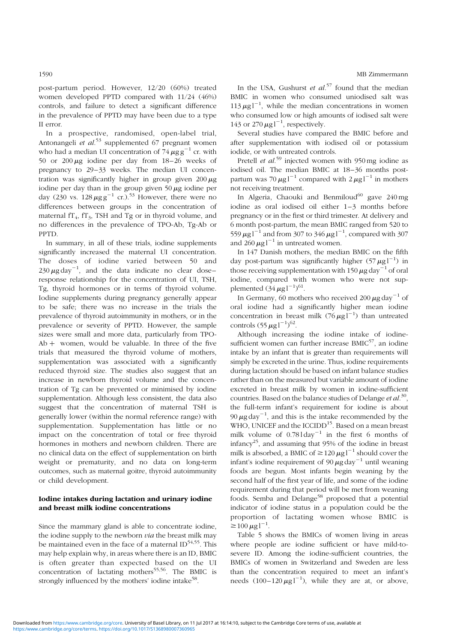post-partum period. However, 12/20 (60%) treated women developed PPTD compared with 11/24 (46%) controls, and failure to detect a significant difference in the prevalence of PPTD may have been due to a type II error.

In a prospective, randomised, open-label trial, Antonangeli et  $al$ <sup>53</sup> supplemented 67 pregnant women who had a median UI concentration of  $74 \mu g g^{-1}$  cr. with 50 or  $200 \mu g$  iodine per day from  $18-26$  weeks of pregnancy to 29–33 weeks. The median UI concentration was significantly higher in group given  $200 \mu$ g iodine per day than in the group given  $50 \mu$ g iodine per day (230 vs.  $128 \mu\text{g g}^{-1}$  cr.).<sup>53</sup> However, there were no differences between groups in the concentration of maternal  $fT_4$ ,  $fT_3$ , TSH and Tg or in thyroid volume, and no differences in the prevalence of TPO-Ab, Tg-Ab or PPTD.

In summary, in all of these trials, iodine supplements significantly increased the maternal UI concentration. The doses of iodine varied between 50 and  $230 \,\mu\text{g day}^{-1}$ , and the data indicate no clear doseresponse relationship for the concentration of UI, TSH, Tg, thyroid hormones or in terms of thyroid volume. Iodine supplements during pregnancy generally appear to be safe; there was no increase in the trials the prevalence of thyroid autoimmunity in mothers, or in the prevalence or severity of PPTD. However, the sample sizes were small and more data, particularly from TPO- $Ab +$  women, would be valuable. In three of the five trials that measured the thyroid volume of mothers, supplementation was associated with a significantly reduced thyroid size. The studies also suggest that an increase in newborn thyroid volume and the concentration of Tg can be prevented or minimised by iodine supplementation. Although less consistent, the data also suggest that the concentration of maternal TSH is generally lower (within the normal reference range) with supplementation. Supplementation has little or no impact on the concentration of total or free thyroid hormones in mothers and newborn children. There are no clinical data on the effect of supplementation on birth weight or prematurity, and no data on long-term outcomes, such as maternal goitre, thyroid autoimmunity or child development.

#### Iodine intakes during lactation and urinary iodine and breast milk iodine concentrations

Since the mammary gland is able to concentrate iodine, the iodine supply to the newborn *via* the breast milk may be maintained even in the face of a maternal  $ID^{54,55}$ . This may help explain why, in areas where there is an ID, BMIC is often greater than expected based on the UI concentration of lactating mothers<sup>55,56</sup>. The BMIC is strongly influenced by the mothers' iodine intake<sup>58</sup>.

In the USA, Gushurst et  $al^{57}$  found that the median BMIC in women who consumed uniodised salt was  $113 \mu g$ <sup>-1</sup>, while the median concentrations in women who consumed low or high amounts of iodised salt were 143 or 270  $\mu$ g l<sup>-1</sup>, respectively.

Several studies have compared the BMIC before and after supplementation with iodised oil or potassium iodide, or with untreated controls.

Pretell *et al.*<sup>59</sup> injected women with 950 mg iodine as iodised oil. The median BMIC at 18–36 months postpartum was 70  $\mu$ g l<sup>-1</sup> compared with 2  $\mu$ g l<sup>-1</sup> in mothers not receiving treatment.

In Algeria, Chaouki and Benmiloud<sup>60</sup> gave  $240 \text{ mg}$ iodine as oral iodised oil either 1–3 months before pregnancy or in the first or third trimester. At delivery and 6 month post-partum, the mean BMIC ranged from 520 to 559  $\mu$ g l $^{-1}$  and from 307 to 346  $\mu$ g l $^{-1}$ , compared with 307 and  $260 \mu g l^{-1}$  in untreated women.

In 147 Danish mothers, the median BMIC on the fifth day post-partum was significantly higher  $(57 \,\mu g)^{-1}$  in those receiving supplementation with 150  $\mu$ g day<sup>-1</sup> of oral iodine, compared with women who were not supplemented  $(34 \,\mu g l^{-1})^{61}$ .

In Germany, 60 mothers who received 200  $\mu$ g day<sup>-1</sup> of oral iodine had a significantly higher mean iodine concentration in breast milk  $(76 \,\mu g)^{-1}$  than untreated controls  $(55 \,\mu g l^{-1})^{62}$ .

Although increasing the iodine intake of iodinesufficient women can further increase  $BMIC<sup>57</sup>$ , an iodine intake by an infant that is greater than requirements will simply be excreted in the urine. Thus, iodine requirements during lactation should be based on infant balance studies rather than on the measured but variable amount of iodine excreted in breast milk by women in iodine-sufficient countries. Based on the balance studies of Delange et  $al^{30}$ , the full-term infant's requirement for iodine is about 90  $\mu$ g day<sup>-1</sup>, and this is the intake recommended by the WHO, UNICEF and the ICCIDD<sup>15</sup>. Based on a mean breast milk volume of  $0.781 \text{day}^{-1}$  in the first 6 months of infancy<sup>25</sup>, and assuming that  $95%$  of the iodine in breast milk is absorbed, a BMIC of  $\geq 120 \mu g l^{-1}$  should cover the infant's iodine requirement of 90  $\mu$ g day<sup>-1</sup> until weaning foods are begun. Most infants begin weaning by the second half of the first year of life, and some of the iodine requirement during that period will be met from weaning foods. Semba and Delange<sup>58</sup> proposed that a potential indicator of iodine status in a population could be the proportion of lactating women whose BMIC is  $\geq 100 \,\mu g l^{-1}$ .

Table 5 shows the BMICs of women living in areas where people are iodine sufficient or have mild-tosevere ID. Among the iodine-sufficient countries, the BMICs of women in Switzerland and Sweden are less than the concentration required to meet an infant's needs  $(100-120 \mu g l^{-1})$ , while they are at, or above,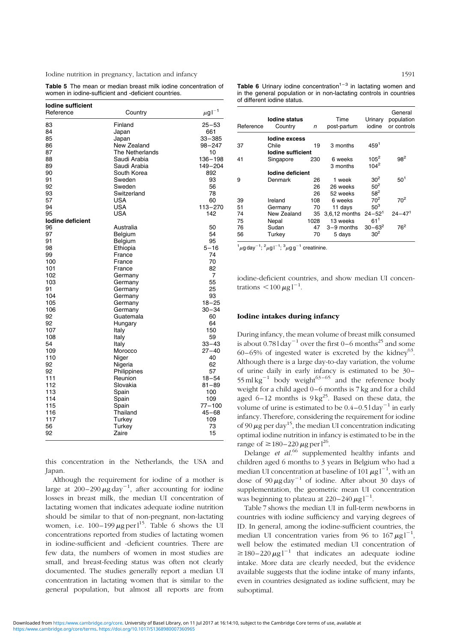Table 5 The mean or median breast milk iodine concentration of women in iodine-sufficient and -deficient countries.

| lodine sufficient<br>Reference | Country                | $\mu$ g l $^{-1}$ |
|--------------------------------|------------------------|-------------------|
| 83                             | Finland                | $25 - 53$         |
| 84                             | Japan                  | 661               |
| 85                             | Japan                  | $33 - 385$        |
| 86                             | New Zealand            | $98 - 247$        |
| 87                             | <b>The Netherlands</b> | 10                |
| 88                             | Saudi Arabia           | 136-198           |
| 89                             | Saudi Arabia           | 149-204           |
| 90                             | South Korea            | 892               |
| 91                             | Sweden                 | 93                |
| 92                             | Sweden                 | 56                |
| 93                             | Switzerland            | 78                |
| 57                             | <b>USA</b>             | 60                |
| 94                             | <b>USA</b>             | 113-270           |
| 95                             | <b>USA</b>             | 142               |
| lodine deficient               |                        |                   |
| 96                             | Australia              | 50                |
| 97                             | Belgium                | 54                |
| 91                             | Belgium                | 95                |
| 98                             | Ethiopia               | $5 - 16$          |
| 99                             | France                 | 74                |
| 100                            | France                 | 70                |
| 101                            | France                 | 82                |
| 102                            | Germany                | 7                 |
| 103                            | Germany                | 55                |
| 91                             | Germany                | 25                |
| 104                            | Germany                | 93                |
| 105                            | Germany                | $18 - 25$         |
| 106                            | Germany                | $30 - 34$         |
| 92                             | Guatemala              | 60                |
| 92                             | Hungary                | 64                |
| 107                            | Italy                  | 150               |
| 108                            | Italy                  | 59                |
| 54                             | Italy                  | $33 - 43$         |
| 109                            | Morocco                | $27 - 40$         |
| 110                            | Niger                  | 40                |
| 92                             | Nigeria                | 62                |
| 92                             | Philippines            | 57                |
| 111                            | Reunion                | $18 - 54$         |
| 112                            | Slovakia               | $81 - 89$         |
| 113                            | Spain                  | 100               |
| 114                            | Spain                  | 109               |
| 115                            | Spain                  | $77 - 100$        |
| 116                            | Thailand               | $45 - 68$         |
| 117                            | Turkey                 | 109               |
| 56                             | Turkey                 | 73                |
| 92                             | Zaire                  | 15                |
|                                |                        |                   |

this concentration in the Netherlands, the USA and Japan.

Although the requirement for iodine of a mother is large at  $200-290 \,\mu\text{g}\,\text{day}^{-1}$ , after accounting for iodine losses in breast milk, the median UI concentration of lactating women that indicates adequate iodine nutrition should be similar to that of non-pregnant, non-lactating women, i.e.  $100-199 \mu$ g per l<sup>15</sup>. Table 6 shows the UI concentrations reported from studies of lactating women in iodine-sufficient and -deficient countries. There are few data, the numbers of women in most studies are small, and breast-feeding status was often not clearly documented. The studies generally report a median UI concentration in lactating women that is similar to the general population, but almost all reports are from **Table 6** Urinary iodine concentration<sup>1-3</sup> in lactating women and in the general population or in non-lactating controls in countries of different iodine status.

| Reference | lodine status<br>Country | n    | Time<br>post-partum | Urinary<br>iodine | General<br>population<br>or controls |
|-----------|--------------------------|------|---------------------|-------------------|--------------------------------------|
|           | lodine excess            |      |                     |                   |                                      |
| 37        | Chile                    | 19   | 3 months            | 459 <sup>1</sup>  |                                      |
|           | lodine sufficient        |      |                     |                   |                                      |
| 41        | Singapore                | 230  | 6 weeks             | $105^2$           | $98^2$                               |
|           |                          |      | 3 months            | $104^2$           |                                      |
|           | lodine deficient         |      |                     |                   |                                      |
| 9         | Denmark                  | 26   | 1 week              | 30 <sup>2</sup>   | $50^{1}$                             |
|           |                          | 26   | 26 weeks            | 50 <sup>2</sup>   |                                      |
|           |                          | 26   | 52 weeks            | $58^2$            |                                      |
| 39        | Ireland                  | 108  | 6 weeks             | 70 <sup>2</sup>   | $70^{2}$                             |
| 51        | Germany                  | 70   | 11 days             | 50 <sup>3</sup>   |                                      |
| 74        | New Zealand              | 35   | 3,6,12 months       | $24 - 521$        | $24 - 47'$                           |
| 75        | Nepal                    | 1028 | 13 weeks            | 61'               |                                      |
| 76        | Sudan                    | 47   | 3-9 months          | $30 - 63^2$       | $76^2$                               |
| 56        | Turkey                   | 70   | 5 days              | 30 <sup>2</sup>   |                                      |

 $\frac{1}{2}\mu$ g day $^{-1}$ ;  $\frac{2}{\mu}$ g l $^{-1}$ ;  $\frac{3}{\mu}$ g g $^{-1}$  creatinine.

iodine-deficient countries, and show median UI concentrations  $<$  100  $\mu$ g l<sup>-1</sup>.

#### Iodine intakes during infancy

During infancy, the mean volume of breast milk consumed is about  $0.781 \text{day}^{-1}$  over the first 0–6 months<sup>25</sup> and some 60–65% of ingested water is excreted by the kidney<sup>63</sup>. Although there is a large day-to-day variation, the volume of urine daily in early infancy is estimated to be 30 – 55 ml kg<sup>-1</sup> body weight<sup>63-65</sup> and the reference body weight for a child aged 0–6 months is 7 kg and for a child aged 6–12 months is  $9 \text{ kg}^{25}$ . Based on these data, the volume of urine is estimated to be  $0.4-0.51 \text{ day}^{-1}$  in early infancy. Therefore, considering the requirement for iodine of 90  $\mu$ g per day<sup>15</sup>, the median UI concentration indicating optimal iodine nutrition in infancy is estimated to be in the range of  $\geq$  180–220  $\mu$ g per l<sup>26</sup>.

Delange et  $al^{66}$  supplemented healthy infants and children aged 6 months to 3 years in Belgium who had a median UI concentration at baseline of 101  $\mu$ g l $^{-1}$ , with an dose of  $90 \mu g day^{-1}$  of iodine. After about 30 days of supplementation, the geometric mean UI concentration was beginning to plateau at  $220-240 \mu g l^{-1}$ .

Table 7 shows the median UI in full-term newborns in countries with iodine sufficiency and varying degrees of ID. In general, among the iodine-sufficient countries, the median UI concentration varies from 96 to  $167 \,\mu g^{-1}$ , well below the estimated median UI concentration of  $\geq$  180-220  $\mu$ g l<sup>-1</sup> that indicates an adequate iodine intake. More data are clearly needed, but the evidence available suggests that the iodine intake of many infants, even in countries designated as iodine sufficient, may be suboptimal.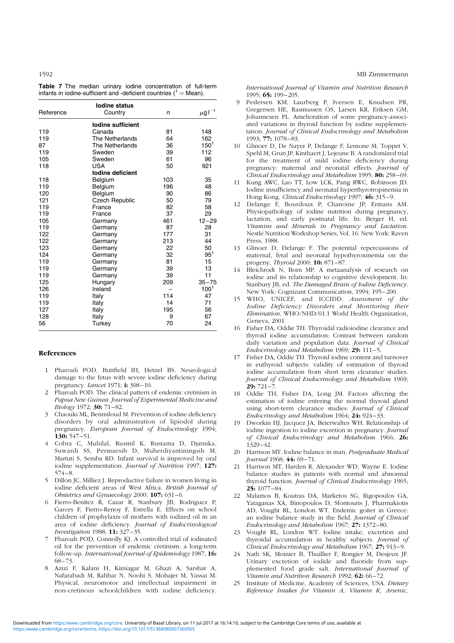|  |  |  | Table 7 The median urinary iodine concentration of full-term         |  |  |
|--|--|--|----------------------------------------------------------------------|--|--|
|  |  |  | infants in iodine-sufficient and -deficient countries ( $1 =$ Mean). |  |  |

|           | <b>lodine status</b>  |              |                   |
|-----------|-----------------------|--------------|-------------------|
| Reference | Country               | $\mathsf{n}$ | $\mu$ g l $^{-1}$ |
|           | lodine sufficient     |              |                   |
| 119       | Canada                | 81           | 148               |
| 119       | The Netherlands       | 64           | 162               |
| 87        | The Netherlands       | 36           | $150^{1}$         |
| 119       | Sweden                | 39           | 112               |
| 105       | Sweden                | 61           | 96                |
| 118       | USA                   | 50           | 921               |
|           | lodine deficient      |              |                   |
| 118       | Belgium               | 103          | 35                |
| 119       | Belgium               | 196          | 48                |
| 120       | Belgium               | 90           | 86                |
| 121       | <b>Czech Republic</b> | 50           | 79                |
| 119       | France                | 82           | 58                |
| 119       | France                | 37           | 29                |
| 105       | Germany               | 461          | $12 - 29$         |
| 119       | Germany               | 87           | 28                |
| 122       | Germany               | 177          | 31                |
| 122       | Germany               | 213          | 44                |
| 123       | Germany               | 22           | 50                |
| 124       | Germany               | 32           | $95^{1}$          |
| 119       | Germany               | 81           | 15                |
| 119       | Germany               | 39           | 13                |
| 119       | Germany               | 39           | 11                |
| 125       | Hungary               | 209          | $35 - 75$         |
| 126       | Ireland               |              | 100 <sup>1</sup>  |
| 119       | Italy                 | 114          | 47                |
| 119       | Italy                 | 14           | 71                |
| 127       | Italy                 | 195          | 56                |
| 128       | Italy                 | 9            | 67                |
| 56        | Turkey                | 70           | 24                |

#### References

- 1 Pharoah POD, Buttfield IH, Hetzel BS. Neurological damage to the fetus with severe iodine deficiency during pregnancy. *Lancet* 1971; i: 308-10.
- 2 Pharoah POD. The clinical pattern of endemic cretinism in Papua New Guinea. Journal of Experimental Medicine and Biology 1972: 30: 71-82.
- 3 Chaouki ML, Benmiloud M. Prevention of iodine deficiency disorders by oral administration of lipiodol during pregnancy. European Journal of Endocrinology 1994; 130: 547 – 51.
- 4 Cobra C, Muhilal, Rusmil K, Rustama D, Djatnika, Suwardi SS, Permaesih D, Muherdiyantiningsih M, Martuti S, Semba RD. Infant survival is improved by oral iodine supplementation. *Journal of Nutrition* 1997; 127:  $574 - 8.$
- 5 Dillon JC, Milliez J. Reproductive failure in women living in iodine deficient areas of West Africa. British Journal of Obstetrics and Gynaecology 2000; 107: 631 –6.
- 6 Fierro-Benitez R, Cazar R, Stanbury JB, Rodriguez P, Garces F, Fierro-Renoy F, Estrella E. Effects on school children of prophylaxis of mothers with iodized oil in an area of iodine deficiency. Journal of Endocrinological Investigation 1988; 11: 327 – 35.
- 7 Pharoah POD, Connolly KJ. A controlled trial of iodinated oil for the prevention of endemic cretinism: a long-term follow-up. International Journal of Epidemiology 1987; 16: 68 –73.
- 8 Azizi F, Kalani H, Kimiagar M, Ghazi A, Sarshar A, Nafarabadi M, Rahbar N, Noohi S, Mohajer M, Yassai M. Physical, neuromotor and intellectual impairment in non-cretinous schoolchildren with iodine deficiency.

1592 MB Zimmermann

International Journal of Vitamin and Nutrition Research  $1995 \cdot 65: 199 - 205$ 

- 9 Pedersen KM, Laurberg P, Iversen E, Knudsen PR, Gregersen HE, Rasmussen OS, Larsen KR, Eriksen GM, Johannesen PL. Amelioration of some pregnancy-associated variations in thyroid function by iodine supplementation. Journal of Clinical Endocrinology and Metabolism 1993; 77: 1078 –83.
- 10 Glinoer D, De Nayer P, Delange F, Lemone M, Toppet V, Spehl M, Grun JP, Kinthaert J, Lejeune B. A randomized trial for the treatment of mild iodine deficiency during pregnancy: maternal and neonatal effects. Journal of Clinical Endocrinology and Metabolism 1995; 80: 258-69.
- 11 Kung AWC, Lao TT, Low LCK, Pang RWC, Robinson JD. Iodine insufficiency and neonatal hyperthyrotropinemia in Hong Kong. Clinical Endocrinology 1997; 46: 315-9.
- 12 Delange F, Bourdoux P, Chanoine JP, Ermans AM. Physiopathology of iodine nutrition during pregnancy, lactation, and early postnatal life. In: Berger H, ed. Vitamins and Minerals in Pregnancy and Lactation. Nestlé Nutrition Workshop Series, Vol. 16. New York: Raven Press, 1988.
- 13 Glinoer D, Delange F. The potential repercussions of maternal, fetal and neonatal hypothyroxinemia on the progeny. Thyroid 2000; 10: 871-87.
- 14 Bleichrodt N, Born MP. A metaanalysis of research on iodine and its relationship to cognitive development. In: Stanbury JB, ed. The Damaged Brain of Iodine Deficiency. New York: Cognizant Communication, 1994; 195 – 200.
- 15 WHO, UNICEF, and ICCIDD. Assessment of the Iodine Deficiency Disorders and Monitoring their Elimination. WHO/NHD/01.1 World Health Organization, Geneva, 2001.
- 16 Fisher DA, Oddie TH. Thyroidal radioiodine clearance and thyroid iodine accumulation: Contrast between random daily variation and population data. Journal of Clinical Endocrinology and Metabolism 1969;  $29:111-5$ .
- 17 Fisher DA, Oddie TH. Thyroid iodine content and turnover in euthyroid subjects: validity of estimation of thyroid iodine accumulation from short term clearance studies. Journal of Clinical Endocrinology and Metabolism 1969;  $29: 721 - 7.$
- 18 Oddie TH, Fisher DA, Long JM. Factors affecting the estimation of iodine entering the normal thyroid gland using short-term clearance studies. Journal of Clinical Endocrinology and Metabolism  $1964$ ;  $24$ :  $924-33$ .
- 19 Dworkin HJ, Jacquez JA, Beierwaltes WH. Relationship of iodine ingestion to iodine excretion in pregnancy. Journal of Clinical Endocrinology and Metabolism 1966; 26: 1329 –42.
- 20 Harrison MT. Iodine balance in man. Postgraduate Medical Journal 1968; 44: 69-71.
- 21 Harrison MT, Harden R, Alexander WD, Wayne E. Iodine balance studies in patients with normal and abnormal thyroid function. *Journal of Clinical Endocrinology* 1965; 25: 1077 –84.
- 22 Malamos B, Koutras DA, Marketos SG, Rigopoulos GA, Yataganas XA, Binopoulos D, Sfontouris J, Pharmakiotis AD, Vought RL, London WT. Endemic goiter in Greece: an iodine balance study in the field. Journal of Clinical Endocrinology and Metabolism 1967; 27: 1372-80.
- 23 Vought RL, London WT. Iodine intake, excretion and thyroidal accumulation in healthy subjects. Journal of Clinical Endocrinology and Metabolism  $1967$ ;  $27:$  913-9.
- 24 Nath SK, Moinier B, Thuillier F, Rongier M, Desjeux JF. Urinary excretion of iodide and fluoride from supplemented food grade salt. International Journal of Vitamin and Nutrition Research 1992; 62: 66-72.
- 25 Institute of Medicine, Academy of Sciences, USA. Dietary Reference Intakes for Vitamin A, Vitamin K, Arsenic,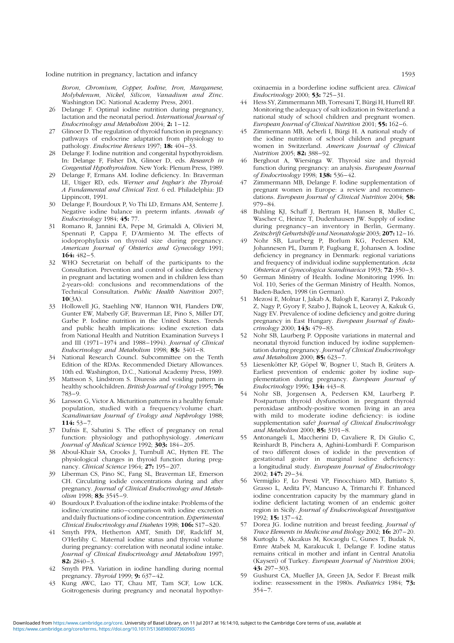Boron, Chromium, Copper, Iodine, Iron, Manganese, Molybdenum, Nickel, Silicon, Vanadium and Zinc. Washington DC: National Academy Press, 2001.

- 26 Delange F. Optimal iodine nutrition during pregnancy, lactation and the neonatal period. International Journal of Endocrinology and Metabolism 2004;  $2: 1-12$ .
- 27 Glinoer D. The regulation of thyroid function in pregnancy: pathways of endocrine adaptation from physiology to pathology. Endocrine Reviews 1997; 18: 404-33.
- 28 Delange F. Iodine nutrition and congenital hypothyroidism. In: Delange F, Fisher DA, Glinoer D, eds. Research in Congential Hypothyroidism. New York: Plenum Press, 1989.
- 29 Delange F, Ermans AM. Iodine deficiency. In: Braverman LE, Utiger RD, eds. Werner and Ingbar's the Thyroid: A Fundamental and Clinical Text. 6 ed. Philadelphia: JD Lippincott, 1991.
- 30 Delange F, Bourdoux P, Vo Thi LD, Ermans AM, Senterre J. Negative iodine balance in preterm infants. Annals of Endocrinology 1984; 45: 77.
- 31 Romano R, Jannini EA, Pepe M, Grimaldi A, Olivieri M, Spennati P, Cappa F, D'Armiento M. The effects of iodoprophylaxis on thyroid size during pregnancy. American Journal of Obsterics and Gynecology 1991;  $164:482-5$
- 32 WHO Secretariat on behalf of the participants to the Consultation. Prevention and control of iodine deficiency in pregnant and lactating women and in children less than 2-years-old: conclusions and recommendations of the Technical Consultation. Public Health Nutrition 2007;  $10(3A)$ .
- 33 Hollowell JG, Staehling NW, Hannon WH, Flanders DW, Gunter EW, Maberly GF, Braverman LE, Pino S, Miller DT, Garbe P. Iodine nutrition in the United States. Trends and public health implications: iodine excretion data from National Health and Nutrition Examination Surveys I and III (1971-1974 and 1988-1994). Journal of Clinical Endocrinology and Metabolism 1998; 83: 3401-8.
- 34 National Research Councl. Subcommittee on the Tenth Edition of the RDAs. Recommended Dietary Allowances. 10th ed. Washington, D.C., National Academy Press, 1989.
- 35 Mattsson S, Lindstrom S. Diuresis and voiding pattern in healthy schoolchildren. British Journal of Urology 1995; 76: 783 – 9.
- 36 Larsson G, Victor A. Micturition patterns in a healthy female population, studied with a frequency/volume chart. Scandinavian Journal of Urology and Nephrology 1988; 114: 53– 7.
- 37 Dafnis E, Sabatini S. The effect of pregnancy on renal function: physiology and pathophysiology. American Journal of Medical Science 1992; 303: 184-205.
- 38 Aboul-Khair SA, Crooks J, Turnbull AC, Hytten FE. The physiological changes in thyroid function during pregnancy. Clinical Science 1964; 27: 195-207.
- 39 Liberman CS, Pino SC, Fang SL, Braverman LE, Emerson CH. Circulating iodide concentrations during and after pregnancy. Journal of Clinical Endocrinology and Metabolism 1998: 83: 3545-9.
- 40 Bourdoux P. Evaluation of the iodine intake: Problems of the iodine/creatinine ratio –comparison with iodine excretion and daily fluctuations of iodine concentration. Experimental Clinical Endocrinology and Diabetes 1998; 106: S17-S20.
- 41 Smyth PPA, Hetherton AMT, Smith DF, Radcliff M, O'Herlihy C. Maternal iodine status and thyroid volume during pregnancy: correlation with neonatal iodine intake. Journal of Clinical Endocrinology and Metabolism 1997;  $82: 2840 - 3$ .
- 42 Smyth PPA. Variation in iodine handling during normal pregnancy. Thyroid 1999; **9:** 637–42.
- 43 Kung AWC, Lao TT, Chau MT, Tam SCF, Low LCK. Goitrogenesis during pregnancy and neonatal hypothyr-

oxinaemia in a borderline iodine sufficient area. Clinical Endocrinology 2000; 53: 725 – 31.

- 44 Hess SY, Zimmermann MB, Torresani T, Bürgi H, Hurrell RF. Monitoring the adequacy of salt iodization in Switzerland: a national study of school children and pregnant women. European Journal of Clinical Nutrition 2001; 55: 162-6.
- 45 Zimmermann MB, Aeberli I, Bürgi H. A national study of the iodine nutrition of school children and pregnant women in Switzerland. American Journal of Clinical Nutrition 2005; 82: 388-92.
- 46 Berghout A, Wiersinga W. Thyroid size and thyroid function during pregnancy: an analysis. European Journal of Endocrinology 1998; 138: 536 – 42.
- 47 Zimmermann MB, Delange F. Iodine supplementation of pregnant women in Europe: a review and recommendations. European Journal of Clinical Nutrition 2004; 58: 979 – 84.
- 48 Buhling KJ, Schaff J, Bertram H, Hansen R, Muller C, Wascher C, Heinze T, Dudenhausen JW. Supply of iodine during pregnancy-an inventory in Berlin, Germany. Zeitschrift Geburtshilfe und Neonatologie 2003; 207: 12– 16.
- 49 Nohr SB, Laurberg P, Borlum KG, Pedersen KM, Johannesen PL, Damm P, Fuglsang E, Johansen A. Iodine deficiency in pregnancy in Denmark: regional variations and frequency of individual iodine supplementation. Acta Obsterica et Gynecologica Scandinavica 1993; 72: 350-3.
- 50 German Ministry of Health. Iodine Monitoring 1996. In: Vol. 110, Series of the German Ministry of Health. Nomos, Baden-Baden, 1998 (in German).
- 51 Mezosi E, Molnar I, Jakab A, Balogh E, Karanyi Z, Pakozdy Z, Nagy P, Gyory F, Szabo J, Bajnok L, Leovey A, Kakuk G, Nagy EV. Prevalence of iodine deficiency and goitre during pregnancy in East Hungary. European Journal of Endocrinology 2000; 143: 479-83.
- 52 Nohr SB, Laurberg P. Opposite variations in maternal and neonatal thyroid function induced by iodine supplementation during pregnancy. Journal of Clinical Endocrinology and Metabolism 2000; 85: 623-7.
- Liesenkötter KP, Göpel W, Bogner U, Stach B, Grüters A. Earliest prevention of endemic goiter by iodine supplementation during pregnancy. European Journal of Endocrinology 1996; 134: 443 – 8.
- 54 Nohr SB, Jorgensen A, Pedersen KM, Laurberg P. Postpartum thyroid dysfunction in pregnant thyroid peroxidase antibody-positive women living in an area with mild to moderate iodine deficiency: is iodine supplementation safe? Journal of Clinical Endocrinology and Metabolism 2000; 85: 3191-8.
- 55 Antonangeli L, Maccherini D, Cavaliere R, Di Giulio C, Reinhardt B, Pinchera A, Aghini-Lombardi F. Comparison of two different doses of iodide in the prevention of gestational goiter in marginal iodine deficiency: a longitudinal study. European Journal of Endocrinology  $2002; 147: 29-34.$
- 56 Vermiglio F, Lo Presti VP, Finocchiaro MD, Battiato S, Grasso L, Ardita FV, Mancuso A, Trimarchi F. Enhanced iodine concentration capacity by the mammary gland in iodine deficient lactating women of an endemic goiter region in Sicily. Journal of Endocrinological Investigation 1992; 15: 137 –42.
- Dorea JG. Iodine nutrition and breast feeding. Journal of Trace Elements in Medicine and Biology 2002; **16:** 207–20.
- 58 Kurtoglu S, Akcakus M, Kocaoglu C, Gunes T, Budak N, Emre Atabek M, Karakucuk I, Delange F. Iodine status remains critical in mother and infant in Central Anatolia (Kayseri) of Turkey. European Journal of Nutrition 2004; 43: 297 – 303.
- 59 Gushurst CA, Mueller JA, Green JA, Sedor F. Breast milk iodine: reassessment in the 1980s. Pediatrics 1984; 73:  $354 - 7.$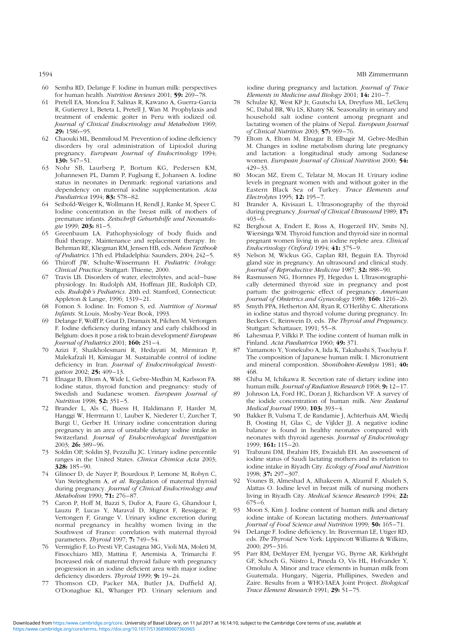- 60 Semba RD, Delange F. Iodine in human milk: perspectives for human health. Nutrition Reviews 2001; 59: 269-78.
- 61 Pretell EA, Moncloa F, Salinas R, Kawano A, Guerra-Garcia R, Gutierrez L, Beteta L, Pretell J, Wan M. Prophylaxis and treatment of endemic goiter in Peru with iodized oil. Journal of Clinical Endocrinology and Metabolism 1969;  $29: 1586 - 95.$
- 62 Chaouki ML, Benmiloud M. Prevention of iodine deficiency disorders by oral administration of Lipiodol during pregnancy. European Journal of Endocrinology 1994; 130: 547 –51.
- 63 Nohr SB, Laurberg P, Bortum KG, Pedersen KM, Johannesen PL, Damm P, Fuglsang E, Johansen A. Iodine status in neonates in Denmark: regional variations and dependency on maternal iodine supplementation. Acta Paediatrica 1994; 83: 578-82.
- 64 Seibold-Weiger K, Wollmann H, Rendl J, Ranke M, Speer C. Iodine concentration in the breast milk of mothers of premature infants. Zeitschrift Geburtshilfe und Neonatologie 1999; 203: 81-5.
- 65 Greenbaum LA. Pathophysiology of body fluids and fluid therapy. Maintenance and replacement therapy. In: Behrman RE, Kliegman RM, Jensen HB, eds. Nelson Textbook of Pediatrics. 17th ed. Philadelphia: Saunders, 2004; 242–5.
- 66 Thüroff JW, Schulte-Wissermann H. Pediatric Urology: Clinical Practice. Stuttgart: Thieme, 2000.
- 67 Travis LB. Disorders of water, electrolytes, and acid –base physiology. In: Rudolph AM, Hoffman JIE, Rudolph CD, eds. Rudolph's Pediatrics. 20th ed. Stamford, Connecticut: Appleton & Lange, 1996; 1319-21.
- 68 Fomon S. Iodine. In: Fomon S, ed. Nutrition of Normal Infants. St.Louis, Mosby-Year Book, 1993.
- 69 Delange F, Wolff P, Gnat D, Dramaix M, Pilchen M, Vertongen F. Iodine deficiency during infancy and early childhood in Belgium: does it pose a risk to brain development? European Journal of Pediatrics 2001; 160: 251–4.
- 70 Azizi F, Shaikholesmani R, Hedayati M, Mirmiran P, Malekafzali H, Kimiagar M. Sustainable control of iodine deficiency in Iran. Journal of Endocrinological Investigation 2002; 25: 409-13.
- 71 Elnagar B, Eltom A, Wide L, Gebre-Medhin M, Karlsson FA. Iodine status, thyroid function and pregnancy: study of Swedish and Sudanese women. European Journal of Nutrition 1998; 52: 351 –5.
- 72 Brander L, Als C, Buess H, Haldimann F, Harder M, Hanggi W, Herrmann U, Lauber K, Niederer U, Zurcher T, Burgi U, Gerber H. Urinary iodine concentration during pregnancy in an area of unstable dietary iodine intake in Switzerland. Journal of Endocrinological Investigation 2003; 26: 389 – 96.
- 73 Soldin OP, Soldin SJ, Pezzullu JC. Urinary iodine percentile ranges in the United States. Clinica Chimica Acta 2003; 328: 185 –90.
- 74 Glinoer D, de Nayer P, Bourdoux P, Lemone M, Robyn C, Van Steirteghem A, et al. Regulation of maternal thyroid during pregnancy. Journal of Clinical Endocrinology and Metabolism 1990; **71:** 276–87.
- 75 Caron P, Hoff M, Bazzi S, Dufor A, Faure G, Ghandour I, Lauzu P, Lucas Y, Maraval D, Mignot F, Ressigeac P, Vertongen F, Grange V. Urinary iodine excretion during normal pregnancy in healthy women living in the Southwest of France: correlation with maternal thyroid parameters. Thyroid 1997; 7: 749-54.
- 76 Vermiglio F, Lo Presti VP, Castagna MG, Violi MA, Moleti M, Finocchiaro MD, Mattina F, Artemisia A, Trimarchi F. Increased risk of maternal thyroid failure with pregnancy progression in an iodine deficient area with major iodine deficiency disorders. Thyroid 1999; 9: 19-24.
- 77 Thomson CD, Packer MA, Butler JA, Duffield AJ, O'Donaghue KL, Whanger PD. Urinary selenium and

iodine during pregnancy and lactation. Journal of Trace Elements in Medicine and Biology 2001;  $14: 210-7$ 

- 78 Schulze KJ, West KP Jr, Gautschi LA, Dreyfuss ML, LeClerq SC, Dahal BR, Wu LS, Khatry SK. Seasonality in urinary and household salt iodine content among pregnant and lactating women of the plains of Nepal. European Journal of Clinical Nutrition 2003; 57: 969-76.
- 79 Eltom A, Eltom M, Elnagar B, Elbagir M, Gebre-Medhin M. Changes in iodine metabolism during late pregnancy and lactation: a longitudinal study among Sudanese women. European Journal of Clinical Nutrition 2000; 54: 429 – 33.
- 80 Mocan MZ, Erem C, Telatar M, Mocan H. Urinary iodine levels in pregnant women with and without goiter in the Eastern Black Sea of Turkey. Trace Elements and Electrolytes 1995; 12: 195-7.
- 81 Brander A, Kivisaari L. Ultrasonography of the thyroid during pregnancy. Journal of Clinical Ultrasound 1989; 17:  $403 - 6$
- 82 Berghout A, Endert E, Ross A, Hogerzeil HV, Smits NJ, Wiersinga WM. Thyroid function and thyroid size in normal pregnant women living in an iodine replete area. Clinical Endocrinology (Oxford) 1994; 41: 375-9.
- 83 Nelson M, Wickus GG, Caplan RH, Beguin EA. Thyroid gland size in pregnancy. An ultrasound and clinical study. Journal of Reproductive Medicine 1987; 32: 888-90.
- 84 Rasmussen NG, Hornnes PJ, Hegedus L. Ultrasonographically determined thyroid size in pregnancy and post partum: the goitrogenic effect of pregnancy. American Journal of Obstetrics and Gynecology 1989; 160: 1216-20.
- 85 Smyth PPA, Hetherton AM, Ryan R, O'Herlihy C. Alterations in iodine status and thyroid volume during pregnancy. In: Beckers C, Reinwein D, eds. The Thyroid and Pregnancy. Stuttgart: Schattauer, 1991; 55-8.
- 86 Lahesmaa P, Vilkki P. The iodine content of human milk in Finland. Acta Paediatrica 1960; 49: 371.
- 87 Yamamoto Y, Yonekubo A, Iida K, Takahashi S, Tsuchyia F. The composition of Japanese human milk. I. Micronutrient and mineral composition. Shonihoken-Kemkyu 1981; 40: 468.
- 88 Chiba M, Ichikawa R. Secretion rate of dietary iodine into human milk. Journal of Radiation Research 1968; 9: 12-17.
- 89 Johnson LA, Ford HC, Doran J, Richardson VF. A survey of the iodide concentration of human milk. New Zealand Medical Journal 1990; 103: 393-4.
- Bakker B, Vulsma T, de Randamie J, Achterhuis AM, Wiedij B, Oosting H, Glas C, de Vijlder JJ. A negative iodine balance is found in healthy neonates compared with neonates with thyroid agenesis. Journal of Endocrinology 1999; 161: 115-20.
- 91 Trabzuni DM, Ibrahim HS, Ewaidah EH. An assessment of iodine status of Saudi lactating mothers and its relation to iodine intake in Riyadh City. Ecology of Food and Nutrition 1998; 37: 297 –307.
- 92 Younes B, Almeshad A, Alhakeem A, Alzamil F, Alsaleh S, Alattas O. Iodine level in breast milk of nursing mothers living in Riyadh City. Medical Science Research 1994; 22:  $675 - 6.$
- 93 Moon S, Kim J. Iodine content of human milk and dietary iodine intake of Korean lactating mothers. International Journal of Food Science and Nutrition 1999; 50: 165-71.
- 94 DeLange F. Iodine deficiency. In: Braverman LE, Utiger RD, eds. The Thyroid. New York: Lippincott Williams & Wilkins, 2000; 295 – 316.
- 95 Parr RM, DeMayer EM, Iyengar VG, Byrne AR, Kirkbright GF, Schoch G, Niistro L, Pineda O, Vis HL, Hofvander Y, Omolulu A. Minor and trace elements in human milk from Guatemala, Hungary, Nigeria, Phillipines, Sweden and Zaire. Results from a WHO/IAEA Joint Project. Biological Trace Element Research 1991; 29: 51-75.